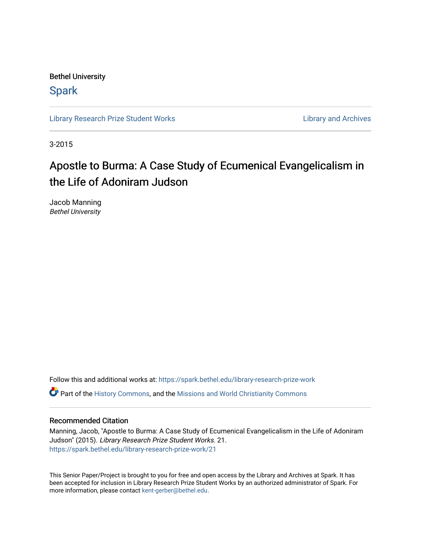Bethel University

# **Spark**

[Library Research Prize Student Works](https://spark.bethel.edu/library-research-prize-work) **Library Access 2018** Library and Archives

3-2015

# Apostle to Burma: A Case Study of Ecumenical Evangelicalism in the Life of Adoniram Judson

Jacob Manning Bethel University

Follow this and additional works at: [https://spark.bethel.edu/library-research-prize-work](https://spark.bethel.edu/library-research-prize-work?utm_source=spark.bethel.edu%2Flibrary-research-prize-work%2F21&utm_medium=PDF&utm_campaign=PDFCoverPages)  **C** Part of the [History Commons,](http://network.bepress.com/hgg/discipline/489?utm_source=spark.bethel.edu%2Flibrary-research-prize-work%2F21&utm_medium=PDF&utm_campaign=PDFCoverPages) and the Missions and World Christianity Commons

### Recommended Citation

Manning, Jacob, "Apostle to Burma: A Case Study of Ecumenical Evangelicalism in the Life of Adoniram Judson" (2015). Library Research Prize Student Works. 21. [https://spark.bethel.edu/library-research-prize-work/21](https://spark.bethel.edu/library-research-prize-work/21?utm_source=spark.bethel.edu%2Flibrary-research-prize-work%2F21&utm_medium=PDF&utm_campaign=PDFCoverPages) 

This Senior Paper/Project is brought to you for free and open access by the Library and Archives at Spark. It has been accepted for inclusion in Library Research Prize Student Works by an authorized administrator of Spark. For more information, please contact [kent-gerber@bethel.edu.](mailto:kent-gerber@bethel.edu)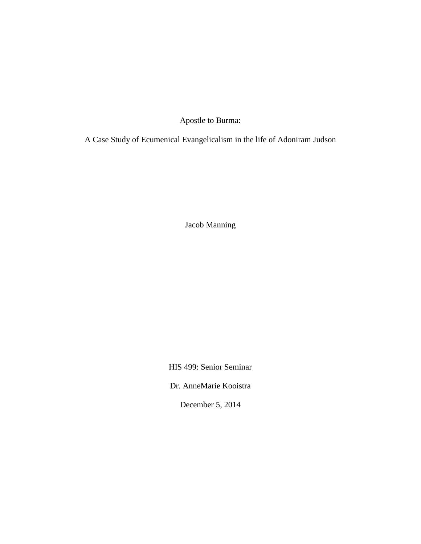Apostle to Burma:

A Case Study of Ecumenical Evangelicalism in the life of Adoniram Judson

Jacob Manning

HIS 499: Senior Seminar

Dr. AnneMarie Kooistra

December 5, 2014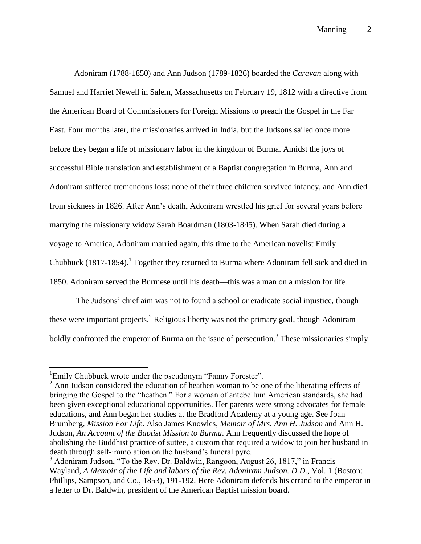Adoniram (1788-1850) and Ann Judson (1789-1826) boarded the *Caravan* along with Samuel and Harriet Newell in Salem, Massachusetts on February 19, 1812 with a directive from the American Board of Commissioners for Foreign Missions to preach the Gospel in the Far East. Four months later, the missionaries arrived in India, but the Judsons sailed once more before they began a life of missionary labor in the kingdom of Burma. Amidst the joys of successful Bible translation and establishment of a Baptist congregation in Burma, Ann and Adoniram suffered tremendous loss: none of their three children survived infancy, and Ann died from sickness in 1826. After Ann's death, Adoniram wrestled his grief for several years before marrying the missionary widow Sarah Boardman (1803-1845). When Sarah died during a voyage to America, Adoniram married again, this time to the American novelist Emily Chubbuck  $(1817-1854)$ .<sup>1</sup> Together they returned to Burma where Adoniram fell sick and died in 1850. Adoniram served the Burmese until his death––this was a man on a mission for life.

The Judsons' chief aim was not to found a school or eradicate social injustice, though these were important projects.<sup>2</sup> Religious liberty was not the primary goal, though Adoniram boldly confronted the emperor of Burma on the issue of persecution.<sup>3</sup> These missionaries simply

<sup>&</sup>lt;sup>1</sup>Emily Chubbuck wrote under the pseudonym "Fanny Forester".

<sup>&</sup>lt;sup>2</sup> Ann Judson considered the education of heathen woman to be one of the liberating effects of bringing the Gospel to the "heathen." For a woman of antebellum American standards, she had been given exceptional educational opportunities. Her parents were strong advocates for female educations, and Ann began her studies at the Bradford Academy at a young age. See Joan Brumberg, *Mission For Life*. Also James Knowles, *Memoir of Mrs. Ann H. Judson* and Ann H. Judson, *An Account of the Baptist Mission to Burma*. Ann frequently discussed the hope of abolishing the Buddhist practice of suttee, a custom that required a widow to join her husband in death through self-immolation on the husband's funeral pyre.

 $3$  Adoniram Judson, "To the Rev. Dr. Baldwin, Rangoon, August 26, 1817," in Francis Wayland, *A Memoir of the Life and labors of the Rev. Adoniram Judson. D.D.*, Vol. 1 (Boston: Phillips, Sampson, and Co., 1853), 191-192. Here Adoniram defends his errand to the emperor in a letter to Dr. Baldwin, president of the American Baptist mission board.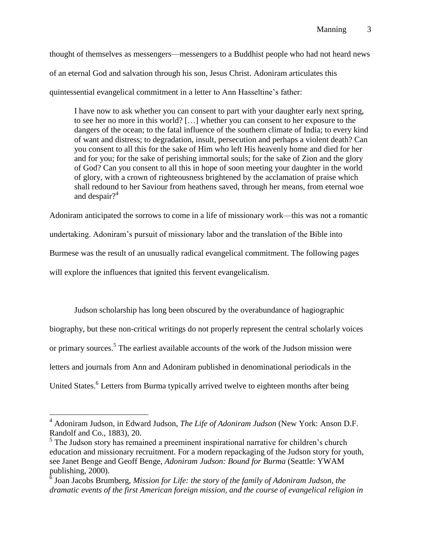thought of themselves as messengers––messengers to a Buddhist people who had not heard news

of an eternal God and salvation through his son, Jesus Christ. Adoniram articulates this

quintessential evangelical commitment in a letter to Ann Hasseltine's father:

I have now to ask whether you can consent to part with your daughter early next spring, to see her no more in this world? […] whether you can consent to her exposure to the dangers of the ocean; to the fatal influence of the southern climate of India; to every kind of want and distress; to degradation, insult, persecution and perhaps a violent death? Can you consent to all this for the sake of Him who left His heavenly home and died for her and for you; for the sake of perishing immortal souls; for the sake of Zion and the glory of God? Can you consent to all this in hope of soon meeting your daughter in the world of glory, with a crown of righteousness brightened by the acclamation of praise which shall redound to her Saviour from heathens saved, through her means, from eternal woe and despair? $4$ 

Adoniram anticipated the sorrows to come in a life of missionary work––this was not a romantic undertaking. Adoniram's pursuit of missionary labor and the translation of the Bible into Burmese was the result of an unusually radical evangelical commitment. The following pages

will explore the influences that ignited this fervent evangelicalism.

 $\overline{a}$ 

Judson scholarship has long been obscured by the overabundance of hagiographic biography, but these non-critical writings do not properly represent the central scholarly voices or primary sources.<sup>5</sup> The earliest available accounts of the work of the Judson mission were letters and journals from Ann and Adoniram published in denominational periodicals in the United States.<sup>6</sup> Letters from Burma typically arrived twelve to eighteen months after being

<sup>4</sup> Adoniram Judson, in Edward Judson, *The Life of Adoniram Judson* (New York: Anson D.F. Randolf and Co., 1883), 20.

<sup>&</sup>lt;sup>5</sup> The Judson story has remained a preeminent inspirational narrative for children's church education and missionary recruitment. For a modern repackaging of the Judson story for youth, see Janet Benge and Geoff Benge, *Adoniram Judson: Bound for Burma* (Seattle: YWAM publishing, 2000).

<sup>&</sup>lt;sup>6</sup> Joan Jacobs Brumberg, *Mission for Life: the story of the family of Adoniram Judson, the dramatic events of the first American foreign mission, and the course of evangelical religion in*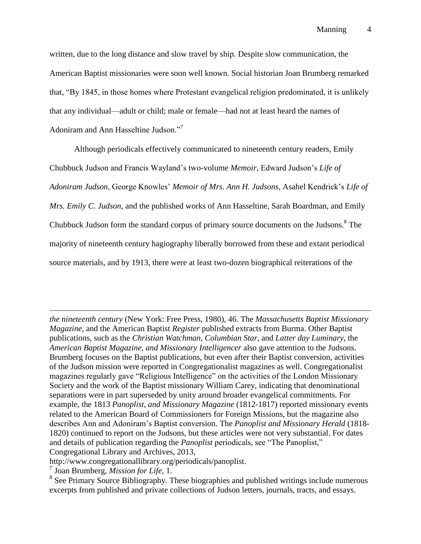written, due to the long distance and slow travel by ship. Despite slow communication, the American Baptist missionaries were soon well known. Social historian Joan Brumberg remarked that, "By 1845, in those homes where Protestant evangelical religion predominated, it is unlikely that any individual––adult or child; male or female––had not at least heard the names of Adoniram and Ann Hasseltine Judson."<sup>7</sup>

Although periodicals effectively communicated to nineteenth century readers, Emily Chubbuck Judson and Francis Wayland's two-volume *Memoir*, Edward Judson's *Life of Adoniram Judson*, George Knowles' *Memoir of Mrs. Ann H. Judsons*, Asahel Kendrick's *Life of Mrs. Emily C. Judson*, and the published works of Ann Hasseltine, Sarah Boardman, and Emily Chubbuck Judson form the standard corpus of primary source documents on the Judsons.<sup>8</sup> The majority of nineteenth century hagiography liberally borrowed from these and extant periodical source materials, and by 1913, there were at least two-dozen biographical reiterations of the

*the nineteenth century* (New York: Free Press, 1980), 46. The *Massachusetts Baptist Missionary Magazine*, and the American Baptist *Register* published extracts from Burma. Other Baptist publications, such as the *Christian Watchman*, *Columbian Star*, and *Latter day Luminary*, the *American Baptist Magazine, and Missionary Intelligencer* also gave attention to the Judsons. Brumberg focuses on the Baptist publications, but even after their Baptist conversion, activities of the Judson mission were reported in Congregationalist magazines as well. Congregationalist magazines regularly gave "Religious Intelligence" on the activities of the London Missionary Society and the work of the Baptist missionary William Carey, indicating that denominational separations were in part superseded by unity around broader evangelical commitments. For example, the 1813 *Panoplist, and Missionary Magazine* (1812-1817) reported missionary events related to the American Board of Commissioners for Foreign Missions, but the magazine also describes Ann and Adoniram's Baptist conversion. The *Panoplist and Missionary Herald* (1818- 1820) continued to report on the Judsons, but these articles were not very substantial. For dates and details of publication regarding the *Panoplist* periodicals, see "The Panoplist," Congregational Library and Archives, 2013,

http://www.congregationallibrary.org/periodicals/panoplist.

<sup>7</sup> Joan Brumberg, *Mission for Life*, 1.

<sup>&</sup>lt;sup>8</sup> See Primary Source Bibliography. These biographies and published writings include numerous excerpts from published and private collections of Judson letters, journals, tracts, and essays.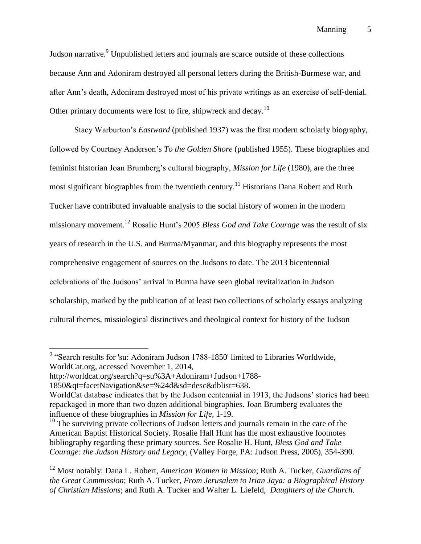Manning 5

Judson narrative.<sup>9</sup> Unpublished letters and journals are scarce outside of these collections because Ann and Adoniram destroyed all personal letters during the British-Burmese war, and after Ann's death, Adoniram destroyed most of his private writings as an exercise of self-denial. Other primary documents were lost to fire, shipwreck and decay.<sup>10</sup>

Stacy Warburton's *Eastward* (published 1937) was the first modern scholarly biography, followed by Courtney Anderson's *To the Golden Shore* (published 1955). These biographies and feminist historian Joan Brumberg's cultural biography, *Mission for Life* (1980), are the three most significant biographies from the twentieth century.<sup>11</sup> Historians Dana Robert and Ruth Tucker have contributed invaluable analysis to the social history of women in the modern missionary movement.<sup>12</sup> Rosalie Hunt's 2005 *Bless God and Take Courage* was the result of six years of research in the U.S. and Burma/Myanmar, and this biography represents the most comprehensive engagement of sources on the Judsons to date. The 2013 bicentennial celebrations of the Judsons' arrival in Burma have seen global revitalization in Judson scholarship, marked by the publication of at least two collections of scholarly essays analyzing cultural themes, missiological distinctives and theological context for history of the Judson

 9 "Search results for 'su: Adoniram Judson 1788-1850' limited to Libraries Worldwide, WorldCat.org, accessed November 1, 2014,

http://worldcat.org/search?q=su%3A+Adoniram+Judson+1788-

<sup>1850&</sup>amp;qt=facetNavigation&se=%24d&sd=desc&dblist=638.

WorldCat database indicates that by the Judson centennial in 1913, the Judsons' stories had been repackaged in more than two dozen additional biographies. Joan Brumberg evaluates the influence of these biographies in *Mission for Life*, 1-19.

 $10$  The surviving private collections of Judson letters and journals remain in the care of the American Baptist Historical Society. Rosalie Hall Hunt has the most exhaustive footnotes bibliography regarding these primary sources. See Rosalie H. Hunt, *Bless God and Take Courage: the Judson History and Legacy*, (Valley Forge, PA: Judson Press, 2005), 354-390.

<sup>12</sup> Most notably: Dana L. Robert, *American Women in Mission*; Ruth A. Tucker, *Guardians of the Great Commission*; Ruth A. Tucker, *From Jerusalem to Irian Jaya: a Biographical History of Christian Missions*; and Ruth A. Tucker and Walter L. Liefeld, *Daughters of the Church*.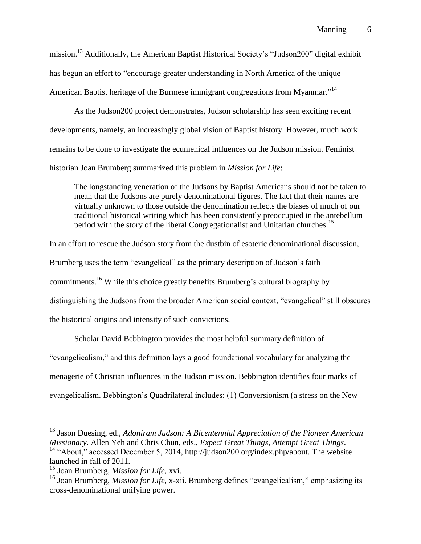mission.<sup>13</sup> Additionally, the American Baptist Historical Society's "Judson200" digital exhibit has begun an effort to "encourage greater understanding in North America of the unique American Baptist heritage of the Burmese immigrant congregations from Myanmar."<sup>14</sup>

As the Judson200 project demonstrates, Judson scholarship has seen exciting recent developments, namely, an increasingly global vision of Baptist history. However, much work remains to be done to investigate the ecumenical influences on the Judson mission. Feminist historian Joan Brumberg summarized this problem in *Mission for Life*:

The longstanding veneration of the Judsons by Baptist Americans should not be taken to mean that the Judsons are purely denominational figures. The fact that their names are virtually unknown to those outside the denomination reflects the biases of much of our traditional historical writing which has been consistently preoccupied in the antebellum period with the story of the liberal Congregationalist and Unitarian churches.<sup>15</sup>

In an effort to rescue the Judson story from the dustbin of esoteric denominational discussion,

Brumberg uses the term "evangelical" as the primary description of Judson's faith

commitments.<sup>16</sup> While this choice greatly benefits Brumberg's cultural biography by

distinguishing the Judsons from the broader American social context, "evangelical" still obscures

the historical origins and intensity of such convictions.

Scholar David Bebbington provides the most helpful summary definition of "evangelicalism," and this definition lays a good foundational vocabulary for analyzing the menagerie of Christian influences in the Judson mission. Bebbington identifies four marks of evangelicalism. Bebbington's Quadrilateral includes: (1) Conversionism (a stress on the New

<sup>13</sup> Jason Duesing, ed., *Adoniram Judson: A Bicentennial Appreciation of the Pioneer American Missionary*. Allen Yeh and Chris Chun, eds., *Expect Great Things, Attempt Great Things*.

<sup>&</sup>lt;sup>14</sup> "About," accessed December 5, 2014, http://judson200.org/index.php/about. The website launched in fall of 2011.

<sup>15</sup> Joan Brumberg, *Mission for Life*, xvi.

<sup>&</sup>lt;sup>16</sup> Joan Brumberg, *Mission for Life*, x-xii. Brumberg defines "evangelicalism," emphasizing its cross-denominational unifying power.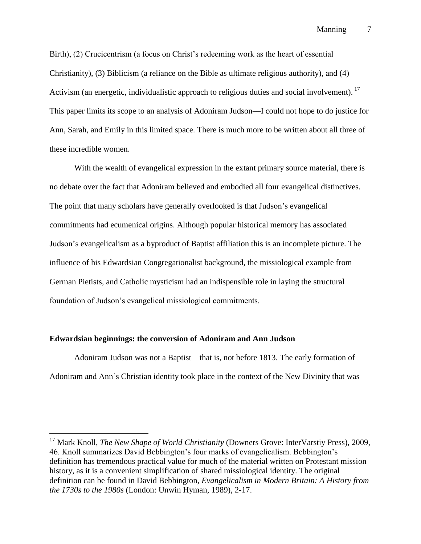Manning 7

Birth), (2) Crucicentrism (a focus on Christ's redeeming work as the heart of essential Christianity), (3) Biblicism (a reliance on the Bible as ultimate religious authority), and (4) Activism (an energetic, individualistic approach to religious duties and social involvement). <sup>17</sup> This paper limits its scope to an analysis of Adoniram Judson––I could not hope to do justice for Ann, Sarah, and Emily in this limited space. There is much more to be written about all three of these incredible women.

With the wealth of evangelical expression in the extant primary source material, there is no debate over the fact that Adoniram believed and embodied all four evangelical distinctives. The point that many scholars have generally overlooked is that Judson's evangelical commitments had ecumenical origins. Although popular historical memory has associated Judson's evangelicalism as a byproduct of Baptist affiliation this is an incomplete picture. The influence of his Edwardsian Congregationalist background, the missiological example from German Pietists, and Catholic mysticism had an indispensible role in laying the structural foundation of Judson's evangelical missiological commitments.

#### **Edwardsian beginnings: the conversion of Adoniram and Ann Judson**

 $\overline{a}$ 

Adoniram Judson was not a Baptist––that is, not before 1813. The early formation of Adoniram and Ann's Christian identity took place in the context of the New Divinity that was

<sup>17</sup> Mark Knoll, *The New Shape of World Christianity* (Downers Grove: InterVarstiy Press), 2009, 46. Knoll summarizes David Bebbington's four marks of evangelicalism. Bebbington's definition has tremendous practical value for much of the material written on Protestant mission history, as it is a convenient simplification of shared missiological identity. The original definition can be found in David Bebbington, *Evangelicalism in Modern Britain: A History from the 1730s to the 1980s* (London: Unwin Hyman, 1989), 2-17.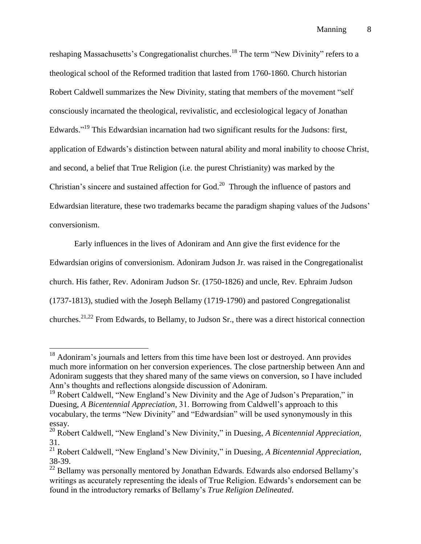reshaping Massachusetts's Congregationalist churches.<sup>18</sup> The term "New Divinity" refers to a theological school of the Reformed tradition that lasted from 1760-1860. Church historian Robert Caldwell summarizes the New Divinity, stating that members of the movement "self consciously incarnated the theological, revivalistic, and ecclesiological legacy of Jonathan Edwards."<sup>19</sup> This Edwardsian incarnation had two significant results for the Judsons: first, application of Edwards's distinction between natural ability and moral inability to choose Christ, and second, a belief that True Religion (i.e. the purest Christianity) was marked by the Christian's sincere and sustained affection for God. $^{20}$  Through the influence of pastors and Edwardsian literature, these two trademarks became the paradigm shaping values of the Judsons' conversionism.

Early influences in the lives of Adoniram and Ann give the first evidence for the Edwardsian origins of conversionism. Adoniram Judson Jr. was raised in the Congregationalist church. His father, Rev. Adoniram Judson Sr. (1750-1826) and uncle, Rev. Ephraim Judson (1737-1813), studied with the Joseph Bellamy (1719-1790) and pastored Congregationalist churches.21,22 From Edwards, to Bellamy, to Judson Sr., there was a direct historical connection

 $<sup>18</sup>$  Adoniram's journals and letters from this time have been lost or destroyed. Ann provides</sup> much more information on her conversion experiences. The close partnership between Ann and Adoniram suggests that they shared many of the same views on conversion, so I have included Ann's thoughts and reflections alongside discussion of Adoniram.

 $19$  Robert Caldwell, "New England's New Divinity and the Age of Judson's Preparation," in Duesing, *A Bicentennial Appreciation,* 31. Borrowing from Caldwell's approach to this vocabulary, the terms "New Divinity" and "Edwardsian" will be used synonymously in this essay.

<sup>20</sup> Robert Caldwell, "New England's New Divinity," in Duesing, *A Bicentennial Appreciation,*  31.

<sup>21</sup> Robert Caldwell, "New England's New Divinity," in Duesing, *A Bicentennial Appreciation*, 38-39.

 $^{22}$  Bellamy was personally mentored by Jonathan Edwards. Edwards also endorsed Bellamy's writings as accurately representing the ideals of True Religion. Edwards's endorsement can be found in the introductory remarks of Bellamy's *True Religion Delineated*.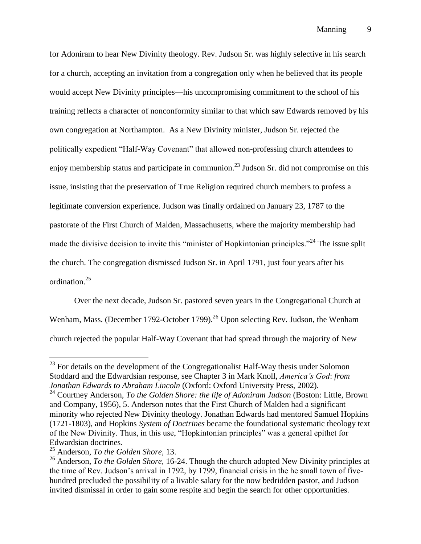for Adoniram to hear New Divinity theology. Rev. Judson Sr. was highly selective in his search for a church, accepting an invitation from a congregation only when he believed that its people would accept New Divinity principles––his uncompromising commitment to the school of his training reflects a character of nonconformity similar to that which saw Edwards removed by his own congregation at Northampton. As a New Divinity minister, Judson Sr. rejected the politically expedient "Half-Way Covenant" that allowed non-professing church attendees to enjoy membership status and participate in communion.<sup>23</sup> Judson Sr. did not compromise on this issue, insisting that the preservation of True Religion required church members to profess a legitimate conversion experience. Judson was finally ordained on January 23, 1787 to the pastorate of the First Church of Malden, Massachusetts, where the majority membership had made the divisive decision to invite this "minister of Hopkintonian principles."<sup>24</sup> The issue split the church. The congregation dismissed Judson Sr. in April 1791, just four years after his ordination.<sup>25</sup>

Over the next decade, Judson Sr. pastored seven years in the Congregational Church at Wenham, Mass. (December 1792-October 1799).<sup>26</sup> Upon selecting Rev. Judson, the Wenham church rejected the popular Half-Way Covenant that had spread through the majority of New

 $^{23}$  For details on the development of the Congregationalist Half-Way thesis under Solomon Stoddard and the Edwardsian response, see Chapter 3 in Mark Knoll, *America's God*: *from Jonathan Edwards to Abraham Lincoln* (Oxford: Oxford University Press, 2002).

<sup>&</sup>lt;sup>24</sup> Courtney Anderson, *To the Golden Shore: the life of Adoniram Judson* (Boston: Little, Brown and Company, 1956), 5. Anderson notes that the First Church of Malden had a significant minority who rejected New Divinity theology. Jonathan Edwards had mentored Samuel Hopkins (1721-1803), and Hopkins *System of Doctrines* became the foundational systematic theology text of the New Divinity. Thus, in this use, "Hopkintonian principles" was a general epithet for Edwardsian doctrines.

<sup>25</sup> Anderson, *To the Golden Shore,* 13.

<sup>&</sup>lt;sup>26</sup> Anderson, *To the Golden Shore*, 16-24. Though the church adopted New Divinity principles at the time of Rev. Judson's arrival in 1792, by 1799, financial crisis in the he small town of fivehundred precluded the possibility of a livable salary for the now bedridden pastor, and Judson invited dismissal in order to gain some respite and begin the search for other opportunities.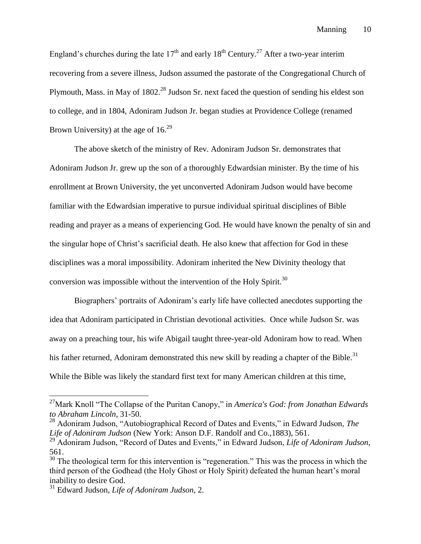England's churches during the late  $17<sup>th</sup>$  and early  $18<sup>th</sup>$  Century.<sup>27</sup> After a two-year interim recovering from a severe illness, Judson assumed the pastorate of the Congregational Church of Plymouth, Mass. in May of 1802<sup>28</sup> Judson Sr. next faced the question of sending his eldest son to college, and in 1804, Adoniram Judson Jr. began studies at Providence College (renamed Brown University) at the age of  $16^{29}$ 

The above sketch of the ministry of Rev. Adoniram Judson Sr. demonstrates that Adoniram Judson Jr. grew up the son of a thoroughly Edwardsian minister. By the time of his enrollment at Brown University, the yet unconverted Adoniram Judson would have become familiar with the Edwardsian imperative to pursue individual spiritual disciplines of Bible reading and prayer as a means of experiencing God. He would have known the penalty of sin and the singular hope of Christ's sacrificial death. He also knew that affection for God in these disciplines was a moral impossibility. Adoniram inherited the New Divinity theology that conversion was impossible without the intervention of the Holy Spirit. $30$ 

Biographers' portraits of Adoniram's early life have collected anecdotes supporting the idea that Adoniram participated in Christian devotional activities. Once while Judson Sr. was away on a preaching tour, his wife Abigail taught three-year-old Adoniram how to read. When his father returned, Adoniram demonstrated this new skill by reading a chapter of the Bible.<sup>31</sup> While the Bible was likely the standard first text for many American children at this time,

<sup>27</sup>Mark Knoll "The Collapse of the Puritan Canopy," in *America's God: from Jonathan Edwards to Abraham Lincoln,* 31-50.

<sup>28</sup> Adoniram Judson, "Autobiographical Record of Dates and Events," in Edward Judson, *The Life of Adoniram Judson* (New York: Anson D.F. Randolf and Co.,1883), 561.

<sup>29</sup> Adoniram Judson, "Record of Dates and Events," in Edward Judson, *Life of Adoniram Judson*, 561.

<sup>&</sup>lt;sup>30</sup> The theological term for this intervention is "regeneration." This was the process in which the third person of the Godhead (the Holy Ghost or Holy Spirit) defeated the human heart's moral inability to desire God.

<sup>31</sup> Edward Judson, *Life of Adoniram Judson*, 2.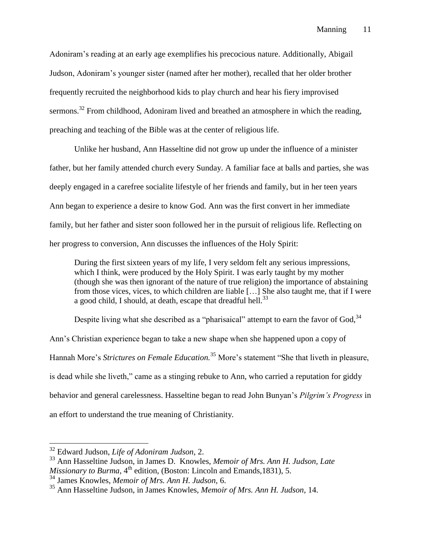Adoniram's reading at an early age exemplifies his precocious nature. Additionally, Abigail Judson, Adoniram's younger sister (named after her mother), recalled that her older brother frequently recruited the neighborhood kids to play church and hear his fiery improvised sermons.<sup>32</sup> From childhood, Adoniram lived and breathed an atmosphere in which the reading, preaching and teaching of the Bible was at the center of religious life.

Unlike her husband, Ann Hasseltine did not grow up under the influence of a minister father, but her family attended church every Sunday. A familiar face at balls and parties, she was deeply engaged in a carefree socialite lifestyle of her friends and family, but in her teen years Ann began to experience a desire to know God. Ann was the first convert in her immediate family, but her father and sister soon followed her in the pursuit of religious life. Reflecting on her progress to conversion, Ann discusses the influences of the Holy Spirit:

During the first sixteen years of my life, I very seldom felt any serious impressions, which I think, were produced by the Holy Spirit. I was early taught by my mother (though she was then ignorant of the nature of true religion) the importance of abstaining from those vices, vices, to which children are liable […] She also taught me, that if I were a good child, I should, at death, escape that dreadful hell.<sup>33</sup>

Despite living what she described as a "pharisaical" attempt to earn the favor of God, 34 Ann's Christian experience began to take a new shape when she happened upon a copy of Hannah More's *Strictures on Female Education.* <sup>35</sup> More's statement "She that liveth in pleasure, is dead while she liveth," came as a stinging rebuke to Ann, who carried a reputation for giddy behavior and general carelessness. Hasseltine began to read John Bunyan's *Pilgrim's Progress* in an effort to understand the true meaning of Christianity*.* 

<sup>32</sup> Edward Judson, *Life of Adoniram Judson*, 2.

<sup>33</sup> Ann Hasseltine Judson, in James D. Knowles, *Memoir of Mrs. Ann H. Judson, Late Missionary to Burma*, 4<sup>th</sup> edition, (Boston: Lincoln and Emands, 1831), 5.

<sup>34</sup> James Knowles, *Memoir of Mrs. Ann H. Judson,* 6.

<sup>35</sup> Ann Hasseltine Judson, in James Knowles, *Memoir of Mrs. Ann H. Judson*, 14.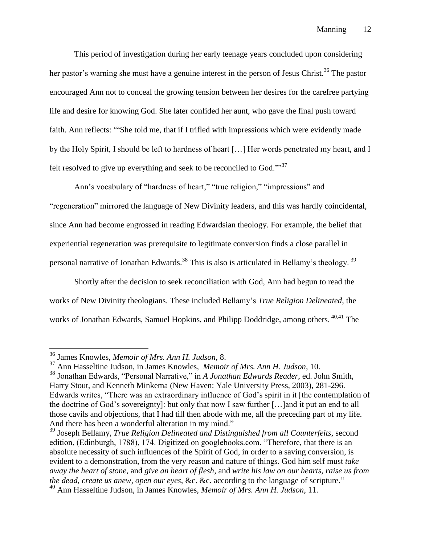This period of investigation during her early teenage years concluded upon considering her pastor's warning she must have a genuine interest in the person of Jesus Christ.<sup>36</sup> The pastor encouraged Ann not to conceal the growing tension between her desires for the carefree partying life and desire for knowing God. She later confided her aunt, who gave the final push toward faith. Ann reflects: '"She told me, that if I trifled with impressions which were evidently made by the Holy Spirit, I should be left to hardness of heart […] Her words penetrated my heart, and I felt resolved to give up everything and seek to be reconciled to God."<sup>37</sup>

Ann's vocabulary of "hardness of heart," "true religion," "impressions" and "regeneration" mirrored the language of New Divinity leaders, and this was hardly coincidental, since Ann had become engrossed in reading Edwardsian theology. For example, the belief that experiential regeneration was prerequisite to legitimate conversion finds a close parallel in personal narrative of Jonathan Edwards.<sup>38</sup> This is also is articulated in Bellamy's theology.<sup>39</sup>

Shortly after the decision to seek reconciliation with God, Ann had begun to read the works of New Divinity theologians. These included Bellamy's *True Religion Delineated*, the works of Jonathan Edwards, Samuel Hopkins, and Philipp Doddridge, among others. <sup>40,41</sup> The

<sup>36</sup> James Knowles, *Memoir of Mrs. Ann H. Judson*, 8.

<sup>37</sup> Ann Hasseltine Judson, in James Knowles, *Memoir of Mrs. Ann H. Judson*, 10. <sup>38</sup> Jonathan Edwards, "Personal Narrative," in *A Jonathan Edwards Reader*, ed. John Smith,

Harry Stout, and Kenneth Minkema (New Haven: Yale University Press, 2003), 281-296. Edwards writes, "There was an extraordinary influence of God's spirit in it [the contemplation of the doctrine of God's sovereignty]: but only that now I saw further […]and it put an end to all those cavils and objections, that I had till then abode with me, all the preceding part of my life. And there has been a wonderful alteration in my mind."

<sup>39</sup> Joseph Bellamy, *True Religion Delineated and Distinguished from all Counterfeits,* second edition, (Edinburgh, 1788), 174. Digitized on googlebooks.com. "Therefore, that there is an absolute necessity of such influences of the Spirit of God, in order to a saving conversion, is evident to a demonstration, from the very reason and nature of things. God him self must *take away the heart of stone*, and *give an heart of flesh*, and *write his law on our hearts, raise us from the dead, create us anew, open our eyes*, &c. &c. according to the language of scripture."

<sup>40</sup> Ann Hasseltine Judson, in James Knowles, *Memoir of Mrs. Ann H. Judson*, 11.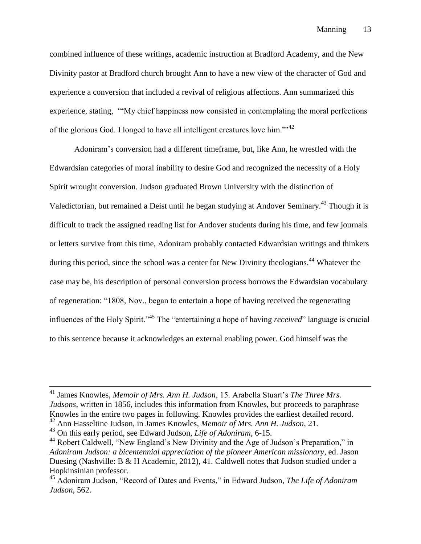combined influence of these writings, academic instruction at Bradford Academy, and the New Divinity pastor at Bradford church brought Ann to have a new view of the character of God and experience a conversion that included a revival of religious affections. Ann summarized this experience, stating, '"My chief happiness now consisted in contemplating the moral perfections of the glorious God. I longed to have all intelligent creatures love him."<sup>12</sup>

Adoniram's conversion had a different timeframe, but, like Ann, he wrestled with the Edwardsian categories of moral inability to desire God and recognized the necessity of a Holy Spirit wrought conversion. Judson graduated Brown University with the distinction of Valedictorian, but remained a Deist until he began studying at Andover Seminary.<sup>43</sup> Though it is difficult to track the assigned reading list for Andover students during his time, and few journals or letters survive from this time, Adoniram probably contacted Edwardsian writings and thinkers during this period, since the school was a center for New Divinity theologians.<sup>44</sup> Whatever the case may be, his description of personal conversion process borrows the Edwardsian vocabulary of regeneration: "1808, Nov., began to entertain a hope of having received the regenerating influences of the Holy Spirit."<sup>45</sup> The "entertaining a hope of having *received*" language is crucial to this sentence because it acknowledges an external enabling power. God himself was the

<sup>41</sup> James Knowles, *Memoir of Mrs. Ann H. Judson*, 15. Arabella Stuart's *The Three Mrs. Judsons*, written in 1856, includes this information from Knowles, but proceeds to paraphrase Knowles in the entire two pages in following. Knowles provides the earliest detailed record. <sup>42</sup> Ann Hasseltine Judson, in James Knowles, *Memoir of Mrs. Ann H. Judson*, 21.

<sup>43</sup> On this early period, see Edward Judson, *Life of Adoniram*, 6-15.

<sup>&</sup>lt;sup>44</sup> Robert Caldwell, "New England's New Divinity and the Age of Judson's Preparation," in

*Adoniram Judson: a bicentennial appreciation of the pioneer American missionary,* ed. Jason Duesing (Nashville: B & H Academic, 2012), 41. Caldwell notes that Judson studied under a Hopkinsinian professor.

<sup>45</sup> Adoniram Judson, "Record of Dates and Events," in Edward Judson, *The Life of Adoniram Judson*, 562.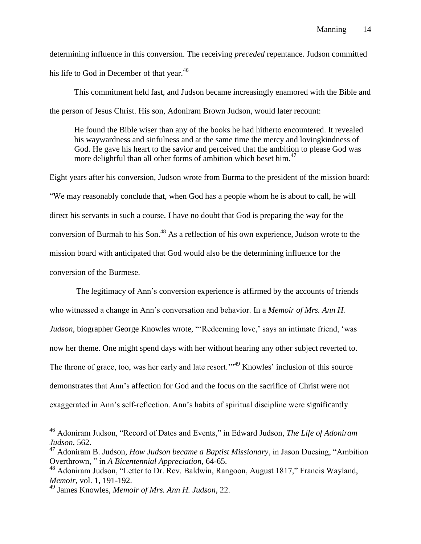determining influence in this conversion. The receiving *preceded* repentance. Judson committed his life to God in December of that year.<sup>46</sup>

This commitment held fast, and Judson became increasingly enamored with the Bible and the person of Jesus Christ. His son, Adoniram Brown Judson, would later recount:

He found the Bible wiser than any of the books he had hitherto encountered. It revealed his waywardness and sinfulness and at the same time the mercy and lovingkindness of God. He gave his heart to the savior and perceived that the ambition to please God was more delightful than all other forms of ambition which beset him.<sup>47</sup>

Eight years after his conversion, Judson wrote from Burma to the president of the mission board: "We may reasonably conclude that, when God has a people whom he is about to call, he will direct his servants in such a course. I have no doubt that God is preparing the way for the conversion of Burmah to his Son.<sup>48</sup> As a reflection of his own experience, Judson wrote to the mission board with anticipated that God would also be the determining influence for the conversion of the Burmese.

The legitimacy of Ann's conversion experience is affirmed by the accounts of friends who witnessed a change in Ann's conversation and behavior. In a *Memoir of Mrs. Ann H. Judson*, biographer George Knowles wrote, "'Redeeming love,' says an intimate friend, 'was now her theme. One might spend days with her without hearing any other subject reverted to. The throne of grace, too, was her early and late resort."<sup>49</sup> Knowles' inclusion of this source demonstrates that Ann's affection for God and the focus on the sacrifice of Christ were not exaggerated in Ann's self-reflection. Ann's habits of spiritual discipline were significantly

<sup>46</sup> Adoniram Judson, "Record of Dates and Events," in Edward Judson, *The Life of Adoniram Judson*, 562.

<sup>47</sup> Adoniram B. Judson, *How Judson became a Baptist Missionary*, in Jason Duesing, "Ambition Overthrown, " in *A Bicentennial Appreciation*, 64-65.

<sup>&</sup>lt;sup>48</sup> Adoniram Judson, "Letter to Dr. Rev. Baldwin, Rangoon, August 1817," Francis Wayland, *Memoir,* vol. 1, 191-192.

<sup>49</sup> James Knowles, *Memoir of Mrs. Ann H. Judson*, 22.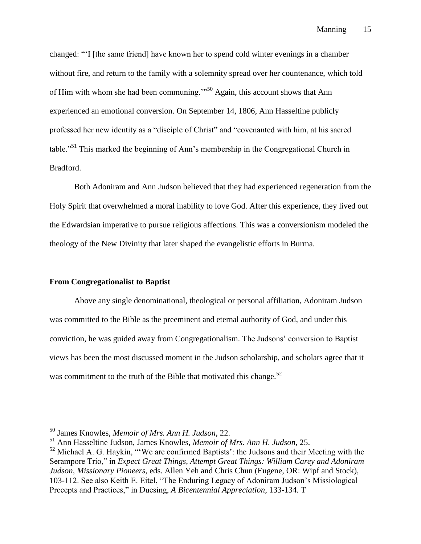changed: "'I [the same friend] have known her to spend cold winter evenings in a chamber without fire, and return to the family with a solemnity spread over her countenance, which told of Him with whom she had been communing.'"<sup>50</sup> Again, this account shows that Ann experienced an emotional conversion. On September 14, 1806, Ann Hasseltine publicly professed her new identity as a "disciple of Christ" and "covenanted with him, at his sacred table."<sup>51</sup> This marked the beginning of Ann's membership in the Congregational Church in Bradford.

Both Adoniram and Ann Judson believed that they had experienced regeneration from the Holy Spirit that overwhelmed a moral inability to love God. After this experience, they lived out the Edwardsian imperative to pursue religious affections. This was a conversionism modeled the theology of the New Divinity that later shaped the evangelistic efforts in Burma.

#### **From Congregationalist to Baptist**

 $\overline{a}$ 

Above any single denominational, theological or personal affiliation, Adoniram Judson was committed to the Bible as the preeminent and eternal authority of God, and under this conviction, he was guided away from Congregationalism. The Judsons' conversion to Baptist views has been the most discussed moment in the Judson scholarship, and scholars agree that it was commitment to the truth of the Bible that motivated this change. $52$ 

<sup>50</sup> James Knowles, *Memoir of Mrs. Ann H. Judson*, 22.

<sup>51</sup> Ann Hasseltine Judson, James Knowles, *Memoir of Mrs. Ann H. Judson*, 25.

 $52$  Michael A. G. Haykin, "'We are confirmed Baptists': the Judsons and their Meeting with the Serampore Trio," in *Expect Great Things, Attempt Great Things: William Carey and Adoniram Judson, Missionary Pioneers*, eds. Allen Yeh and Chris Chun (Eugene, OR: Wipf and Stock), 103-112. See also Keith E. Eitel, "The Enduring Legacy of Adoniram Judson's Missiological Precepts and Practices," in Duesing, *A Bicentennial Appreciation*, 133-134. T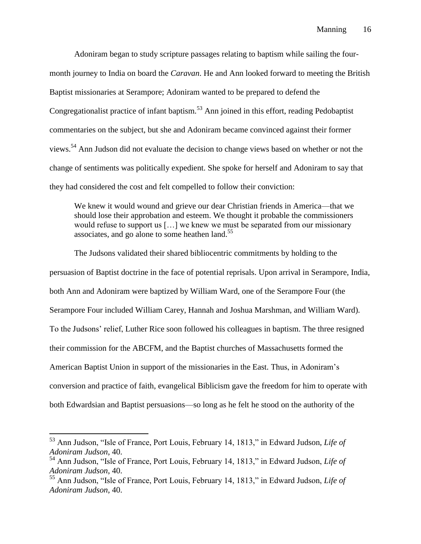Adoniram began to study scripture passages relating to baptism while sailing the fourmonth journey to India on board the *Caravan*. He and Ann looked forward to meeting the British Baptist missionaries at Serampore; Adoniram wanted to be prepared to defend the Congregationalist practice of infant baptism.<sup>53</sup> Ann joined in this effort, reading Pedobaptist commentaries on the subject, but she and Adoniram became convinced against their former views.<sup>54</sup> Ann Judson did not evaluate the decision to change views based on whether or not the change of sentiments was politically expedient. She spoke for herself and Adoniram to say that they had considered the cost and felt compelled to follow their conviction:

We knew it would wound and grieve our dear Christian friends in America—that we should lose their approbation and esteem. We thought it probable the commissioners would refuse to support us […] we knew we must be separated from our missionary associates, and go alone to some heathen  $\text{land}$ .<sup>55</sup>

The Judsons validated their shared bibliocentric commitments by holding to the persuasion of Baptist doctrine in the face of potential reprisals. Upon arrival in Serampore, India, both Ann and Adoniram were baptized by William Ward, one of the Serampore Four (the Serampore Four included William Carey, Hannah and Joshua Marshman, and William Ward). To the Judsons' relief, Luther Rice soon followed his colleagues in baptism. The three resigned their commission for the ABCFM, and the Baptist churches of Massachusetts formed the American Baptist Union in support of the missionaries in the East. Thus, in Adoniram's conversion and practice of faith, evangelical Biblicism gave the freedom for him to operate with both Edwardsian and Baptist persuasions––so long as he felt he stood on the authority of the

<sup>53</sup> Ann Judson, "Isle of France, Port Louis, February 14, 1813," in Edward Judson, *Life of Adoniram Judson*, 40.

<sup>54</sup> Ann Judson, "Isle of France, Port Louis, February 14, 1813," in Edward Judson, *Life of Adoniram Judson*, 40.

<sup>55</sup> Ann Judson, "Isle of France, Port Louis, February 14, 1813," in Edward Judson, *Life of Adoniram Judson*, 40.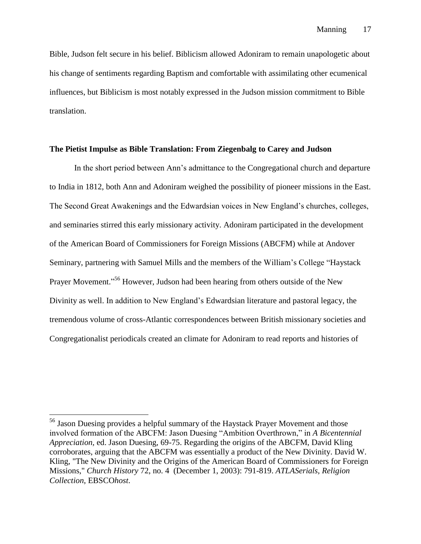Bible, Judson felt secure in his belief. Biblicism allowed Adoniram to remain unapologetic about his change of sentiments regarding Baptism and comfortable with assimilating other ecumenical influences, but Biblicism is most notably expressed in the Judson mission commitment to Bible translation.

#### **The Pietist Impulse as Bible Translation: From Ziegenbalg to Carey and Judson**

In the short period between Ann's admittance to the Congregational church and departure to India in 1812, both Ann and Adoniram weighed the possibility of pioneer missions in the East. The Second Great Awakenings and the Edwardsian voices in New England's churches, colleges, and seminaries stirred this early missionary activity. Adoniram participated in the development of the American Board of Commissioners for Foreign Missions (ABCFM) while at Andover Seminary, partnering with Samuel Mills and the members of the William's College "Haystack Prayer Movement."<sup>56</sup> However, Judson had been hearing from others outside of the New Divinity as well. In addition to New England's Edwardsian literature and pastoral legacy, the tremendous volume of cross-Atlantic correspondences between British missionary societies and Congregationalist periodicals created an climate for Adoniram to read reports and histories of

<sup>56</sup> Jason Duesing provides a helpful summary of the Haystack Prayer Movement and those involved formation of the ABCFM: Jason Duesing "Ambition Overthrown," in *A Bicentennial Appreciation,* ed. Jason Duesing, 69-75. Regarding the origins of the ABCFM, David Kling corroborates, arguing that the ABCFM was essentially a product of the New Divinity. David W. Kling, "The New Divinity and the Origins of the American Board of Commissioners for Foreign Missions," *Church History* 72, no. 4 (December 1, 2003): 791-819. *ATLASerials, Religion Collection*, EBSCO*host*.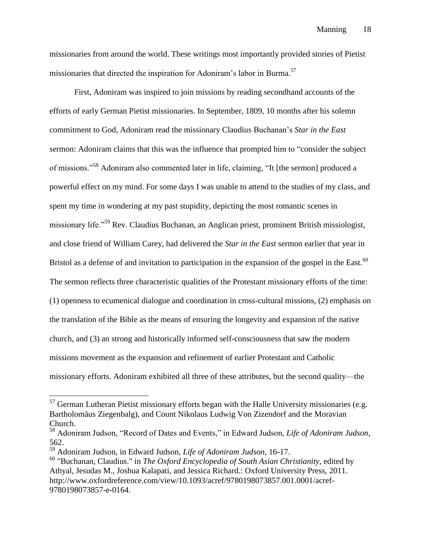missionaries from around the world. These writings most importantly provided stories of Pietist missionaries that directed the inspiration for Adoniram's labor in Burma.<sup>57</sup>

First, Adoniram was inspired to join missions by reading secondhand accounts of the efforts of early German Pietist missionaries. In September, 1809, 10 months after his solemn commitment to God, Adoniram read the missionary Claudius Buchanan's *Star in the East* sermon: Adoniram claims that this was the influence that prompted him to "consider the subject of missions."<sup>58</sup> Adoniram also commented later in life, claiming, "It [the sermon] produced a powerful effect on my mind. For some days I was unable to attend to the studies of my class, and spent my time in wondering at my past stupidity, depicting the most romantic scenes in missionary life."<sup>59</sup> Rev. Claudius Buchanan, an Anglican priest, prominent British missiologist, and close friend of William Carey, had delivered the *Star in the East* sermon earlier that year in Bristol as a defense of and invitation to participation in the expansion of the gospel in the East.<sup>60</sup> The sermon reflects three characteristic qualities of the Protestant missionary efforts of the time: (1) openness to ecumenical dialogue and coordination in cross-cultural missions, (2) emphasis on the translation of the Bible as the means of ensuring the longevity and expansion of the native church, and (3) an strong and historically informed self-consciousness that saw the modern missions movement as the expansion and refinement of earlier Protestant and Catholic missionary efforts. Adoniram exhibited all three of these attributes, but the second quality––the

 $57$  German Lutheran Pietist missionary efforts began with the Halle University missionaries (e.g. Bartholomäus Ziegenbalg), and Count Nikolaus Ludwig Von Zizendorf and the Moravian Church.

<sup>58</sup> Adoniram Judson, "Record of Dates and Events," in Edward Judson, *Life of Adoniram Judson*, 562.

<sup>59</sup> Adoniram Judson, in Edward Judson, *Life of Adoniram Judson,* 16-17.

<sup>60</sup> "Buchanan, Claudius." in *The Oxford Encyclopedia of South Asian Christianity*, edited by Athyal, Jesudas M., Joshua Kalapati, and Jessica Richard.: Oxford University Press, 2011. http://www.oxfordreference.com/view/10.1093/acref/9780198073857.001.0001/acref-9780198073857-e-0164.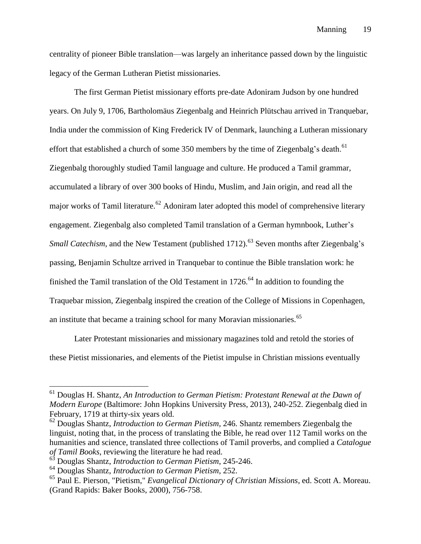centrality of pioneer Bible translation––was largely an inheritance passed down by the linguistic legacy of the German Lutheran Pietist missionaries.

The first German Pietist missionary efforts pre-date Adoniram Judson by one hundred years. On July 9, 1706, Bartholomäus Ziegenbalg and Heinrich Plütschau arrived in Tranquebar, India under the commission of King Frederick IV of Denmark, launching a Lutheran missionary effort that established a church of some 350 members by the time of Ziegenbalg's death.<sup>61</sup> Ziegenbalg thoroughly studied Tamil language and culture. He produced a Tamil grammar, accumulated a library of over 300 books of Hindu, Muslim, and Jain origin, and read all the major works of Tamil literature.<sup>62</sup> Adoniram later adopted this model of comprehensive literary engagement. Ziegenbalg also completed Tamil translation of a German hymnbook, Luther's *Small Catechism*, and the New Testament (published 1712).<sup>63</sup> Seven months after Ziegenbalg's passing, Benjamin Schultze arrived in Tranquebar to continue the Bible translation work: he finished the Tamil translation of the Old Testament in  $1726$ <sup>64</sup> In addition to founding the Traquebar mission, Ziegenbalg inspired the creation of the College of Missions in Copenhagen, an institute that became a training school for many Moravian missionaries.<sup>65</sup>

Later Protestant missionaries and missionary magazines told and retold the stories of these Pietist missionaries, and elements of the Pietist impulse in Christian missions eventually

<sup>61</sup> Douglas H. Shantz, *An Introduction to German Pietism: Protestant Renewal at the Dawn of Modern Europe* (Baltimore: John Hopkins University Press, 2013), 240-252. Ziegenbalg died in February, 1719 at thirty-six years old.

<sup>62</sup> Douglas Shantz, *Introduction to German Pietism*, 246. Shantz remembers Ziegenbalg the linguist, noting that, in the process of translating the Bible, he read over 112 Tamil works on the humanities and science, translated three collections of Tamil proverbs, and complied a *Catalogue of Tamil Books*, reviewing the literature he had read.

<sup>63</sup> Douglas Shantz, *Introduction to German Pietism*, 245-246.

<sup>64</sup> Douglas Shantz, *Introduction to German Pietism*, 252.

<sup>65</sup> Paul E. Pierson, "Pietism," *Evangelical Dictionary of Christian Missions*, ed. Scott A. Moreau. (Grand Rapids: Baker Books, 2000), 756-758.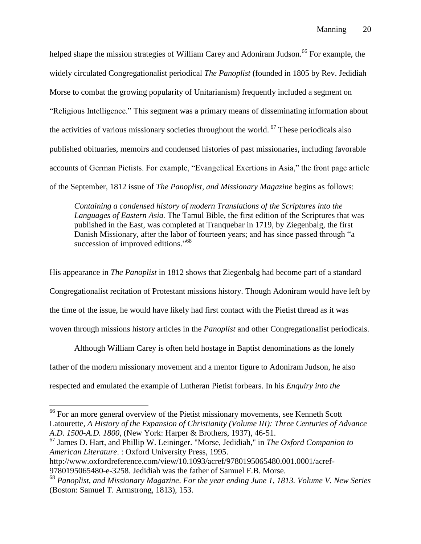helped shape the mission strategies of William Carey and Adoniram Judson.<sup>66</sup> For example, the widely circulated Congregationalist periodical *The Panoplist* (founded in 1805 by Rev. Jedidiah Morse to combat the growing popularity of Unitarianism) frequently included a segment on "Religious Intelligence." This segment was a primary means of disseminating information about the activities of various missionary societies throughout the world. <sup>67</sup> These periodicals also published obituaries, memoirs and condensed histories of past missionaries, including favorable accounts of German Pietists. For example, "Evangelical Exertions in Asia," the front page article of the September, 1812 issue of *The Panoplist, and Missionary Magazine* begins as follows:

*Containing a condensed history of modern Translations of the Scriptures into the Languages of Eastern Asia.* The Tamul Bible, the first edition of the Scriptures that was published in the East, was completed at Tranquebar in 1719, by Ziegenbalg, the first Danish Missionary, after the labor of fourteen years; and has since passed through "a succession of improved editions."<sup>68</sup>

His appearance in *The Panoplist* in 1812 shows that Ziegenbalg had become part of a standard Congregationalist recitation of Protestant missions history. Though Adoniram would have left by the time of the issue, he would have likely had first contact with the Pietist thread as it was woven through missions history articles in the *Panoplist* and other Congregationalist periodicals.

Although William Carey is often held hostage in Baptist denominations as the lonely father of the modern missionary movement and a mentor figure to Adoniram Judson, he also respected and emulated the example of Lutheran Pietist forbears. In his *Enquiry into the* 

<sup>67</sup> James D. Hart, and Phillip W. Leininger. "Morse, Jedidiah," in *The Oxford Companion to American Literature*. : Oxford University Press, 1995.

9780195065480-e-3258. Jedidiah was the father of Samuel F.B. Morse.

 $66$  For an more general overview of the Pietist missionary movements, see Kenneth Scott Latourette, *A History of the Expansion of Christianity (Volume III): Three Centuries of Advance A.D. 1500-A.D. 1800,* (New York: Harper & Brothers, 1937), 46-51.

http://www.oxfordreference.com/view/10.1093/acref/9780195065480.001.0001/acref-

<sup>68</sup> *Panoplist, and Missionary Magazine*. *For the year ending June 1, 1813. Volume V. New Series* (Boston: Samuel T. Armstrong, 1813), 153.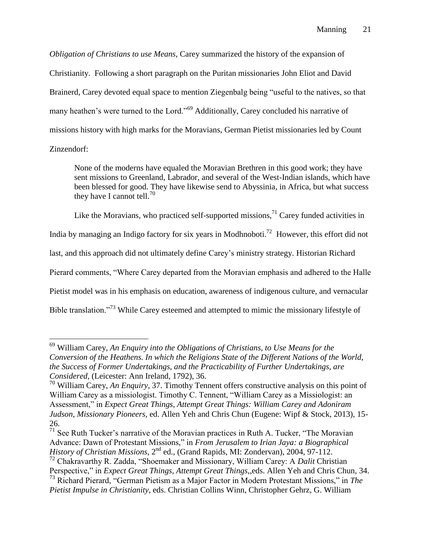*Obligation of Christians to use Means*, Carey summarized the history of the expansion of Christianity. Following a short paragraph on the Puritan missionaries John Eliot and David Brainerd, Carey devoted equal space to mention Ziegenbalg being "useful to the natives, so that many heathen's were turned to the Lord."<sup>69</sup> Additionally, Carey concluded his narrative of missions history with high marks for the Moravians, German Pietist missionaries led by Count

Zinzendorf:

 $\overline{a}$ 

None of the moderns have equaled the Moravian Brethren in this good work; they have sent missions to Greenland, Labrador, and several of the West-Indian islands, which have been blessed for good. They have likewise send to Abyssinia, in Africa, but what success they have I cannot tell.<sup>70</sup>

Like the Moravians, who practiced self-supported missions,  $71$  Carey funded activities in

India by managing an Indigo factory for six years in Modhnoboti.<sup>72</sup> However, this effort did not

last, and this approach did not ultimately define Carey's ministry strategy. Historian Richard

Pierard comments, "Where Carey departed from the Moravian emphasis and adhered to the Halle

Pietist model was in his emphasis on education, awareness of indigenous culture, and vernacular

Bible translation."<sup>73</sup> While Carey esteemed and attempted to mimic the missionary lifestyle of

 $71$  See Ruth Tucker's narrative of the Moravian practices in Ruth A. Tucker, "The Moravian" Advance: Dawn of Protestant Missions," in *From Jerusalem to Irian Jaya: a Biographical History of Christian Missions*, 2<sup>nd</sup> ed., (Grand Rapids, MI: Zondervan), 2004, 97-112. <sup>72</sup> Chakravarthy R. Zadda, "Shoemaker and Missionary, William Carey: A *Dalit* Christian Perspective," in *Expect Great Things, Attempt Great Things*,*,*eds. Allen Yeh and Chris Chun, 34.

<sup>69</sup> William Carey, *An Enquiry into the Obligations of Christians, to Use Means for the Conversion of the Heathens. In which the Religions State of the Different Nations of the World, the Success of Former Undertakings, and the Practicability of Further Undertakings, are Considered,* (Leicester: Ann Ireland, 1792), 36.

<sup>70</sup> William Carey, *An Enquiry*, 37. Timothy Tennent offers constructive analysis on this point of William Carey as a missiologist. Timothy C. Tennent, "William Carey as a Missiologist: an Assessment," in *Expect Great Things, Attempt Great Things: William Carey and Adoniram Judson, Missionary Pioneers,* ed. Allen Yeh and Chris Chun (Eugene: Wipf & Stock, 2013), 15- 26.

<sup>73</sup> Richard Pierard, "German Pietism as a Major Factor in Modern Protestant Missions," in *The Pietist Impulse in Christianity*, eds. Christian Collins Winn, Christopher Gehrz, G. William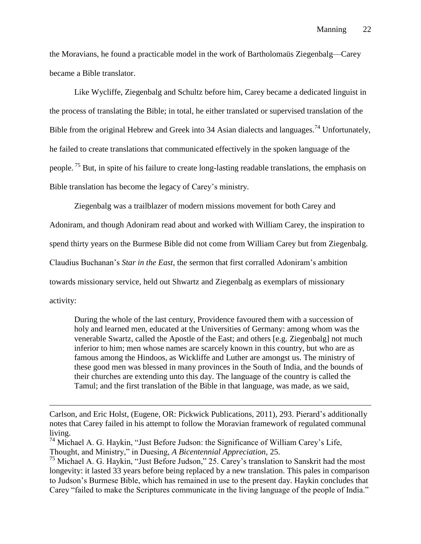the Moravians, he found a practicable model in the work of Bartholomaüs Ziegenbalg––Carey became a Bible translator.

Like Wycliffe, Ziegenbalg and Schultz before him, Carey became a dedicated linguist in the process of translating the Bible; in total, he either translated or supervised translation of the Bible from the original Hebrew and Greek into 34 Asian dialects and languages.<sup>74</sup> Unfortunately, he failed to create translations that communicated effectively in the spoken language of the people. <sup>75</sup> But, in spite of his failure to create long-lasting readable translations, the emphasis on Bible translation has become the legacy of Carey's ministry.

Ziegenbalg was a trailblazer of modern missions movement for both Carey and Adoniram, and though Adoniram read about and worked with William Carey, the inspiration to spend thirty years on the Burmese Bible did not come from William Carey but from Ziegenbalg. Claudius Buchanan's *Star in the East*, the sermon that first corralled Adoniram's ambition towards missionary service, held out Shwartz and Ziegenbalg as exemplars of missionary activity:

During the whole of the last century, Providence favoured them with a succession of holy and learned men, educated at the Universities of Germany: among whom was the venerable Swartz, called the Apostle of the East; and others [e.g. Ziegenbalg] not much inferior to him; men whose names are scarcely known in this country, but who are as famous among the Hindoos, as Wickliffe and Luther are amongst us. The ministry of these good men was blessed in many provinces in the South of India, and the bounds of their churches are extending unto this day. The language of the country is called the Tamul; and the first translation of the Bible in that language, was made, as we said,

Carlson, and Eric Holst, (Eugene, OR: Pickwick Publications, 2011), 293. Pierard's additionally notes that Carey failed in his attempt to follow the Moravian framework of regulated communal living.

 $74$  Michael A. G. Haykin, "Just Before Judson: the Significance of William Carey's Life, Thought, and Ministry," in Duesing, *A Bicentennial Appreciation*, 25.

<sup>&</sup>lt;sup>75</sup> Michael A. G. Haykin, "Just Before Judson," 25. Carey's translation to Sanskrit had the most longevity: it lasted 33 years before being replaced by a new translation. This pales in comparison to Judson's Burmese Bible, which has remained in use to the present day. Haykin concludes that Carey "failed to make the Scriptures communicate in the living language of the people of India."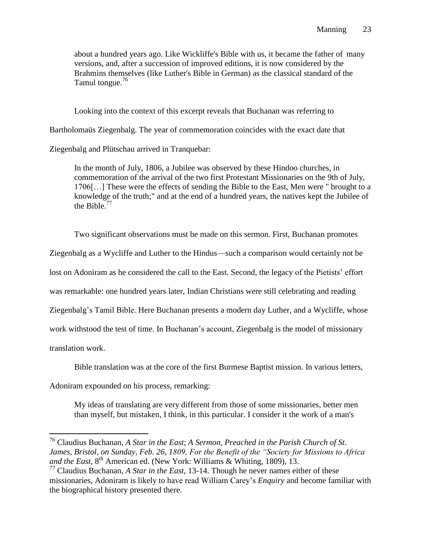about a hundred years ago. Like Wickliffe's Bible with us, it became the father of many versions, and, after a succession of improved editions, it is now considered by the Brahmins themselves (like Luther's Bible in German) as the classical standard of the Tamul tongue.<sup>76</sup>

Looking into the context of this excerpt reveals that Buchanan was referring to

Bartholomaüs Ziegenbalg. The year of commemoration coincides with the exact date that

Ziegenbalg and Plütschau arrived in Tranquebar:

In the month of July, 1806, a Jubilee was observed by these Hindoo churches, in commemoration of the arrival of the two first Protestant Missionaries on the 9th of July, 1706[…] These were the effects of sending the Bible to the East, Men were " brought to a knowledge of the truth;" and at the end of a hundred years, the natives kept the Jubilee of the Bible. $77$ 

Two significant observations must be made on this sermon. First, Buchanan promotes Ziegenbalg as a Wycliffe and Luther to the Hindus––such a comparison would certainly not be lost on Adoniram as he considered the call to the East. Second, the legacy of the Pietists' effort was remarkable: one hundred years later, Indian Christians were still celebrating and reading Ziegenbalg's Tamil Bible. Here Buchanan presents a modern day Luther, and a Wycliffe, whose work withstood the test of time. In Buchanan's account, Ziegenbalg is the model of missionary translation work.

Bible translation was at the core of the first Burmese Baptist mission. In various letters,

Adoniram expounded on his process, remarking:

 $\overline{a}$ 

My ideas of translating are very different from those of some missionaries, better men than myself, but mistaken, I think, in this particular. I consider it the work of a man's

<sup>76</sup> Claudius Buchanan, *A Star in the East*; *A Sermon, Preached in the Parish Church of St. James, Bristol, on Sunday, Feb. 26, 1809, For the Benefit of the "Society for Missions to Africa*  and the East, 8<sup>th</sup> American ed. (New York: Williams & Whiting, 1809), 13.

<sup>77</sup> Claudius Buchanan, *A Star in the East*, 13-14. Though he never names either of these missionaries, Adoniram is likely to have read William Carey's *Enquiry* and become familiar with the biographical history presented there.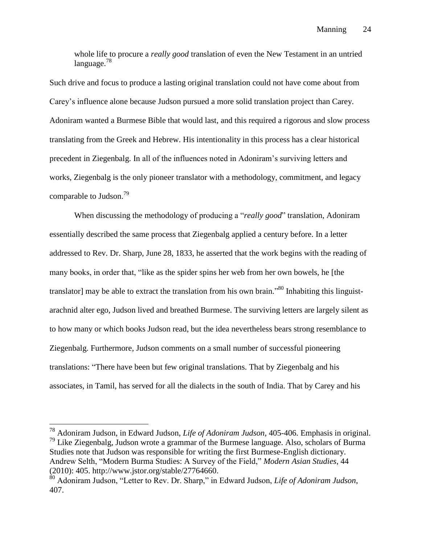whole life to procure a *really good* translation of even the New Testament in an untried  $langu a \nleq 78$ 

Such drive and focus to produce a lasting original translation could not have come about from Carey's influence alone because Judson pursued a more solid translation project than Carey. Adoniram wanted a Burmese Bible that would last, and this required a rigorous and slow process translating from the Greek and Hebrew. His intentionality in this process has a clear historical precedent in Ziegenbalg. In all of the influences noted in Adoniram's surviving letters and works, Ziegenbalg is the only pioneer translator with a methodology, commitment, and legacy comparable to Judson.<sup>79</sup>

When discussing the methodology of producing a "*really good*" translation, Adoniram essentially described the same process that Ziegenbalg applied a century before. In a letter addressed to Rev. Dr. Sharp, June 28, 1833, he asserted that the work begins with the reading of many books, in order that, "like as the spider spins her web from her own bowels, he [the translator] may be able to extract the translation from his own brain."<sup>80</sup> Inhabiting this linguistarachnid alter ego, Judson lived and breathed Burmese. The surviving letters are largely silent as to how many or which books Judson read, but the idea nevertheless bears strong resemblance to Ziegenbalg. Furthermore, Judson comments on a small number of successful pioneering translations: "There have been but few original translations. That by Ziegenbalg and his associates, in Tamil, has served for all the dialects in the south of India. That by Carey and his

<sup>78</sup> Adoniram Judson, in Edward Judson, *Life of Adoniram Judson*, 405-406. Emphasis in original.  $^{79}$  Like Ziegenbalg, Judson wrote a grammar of the Burmese language. Also, scholars of Burma Studies note that Judson was responsible for writing the first Burmese-English dictionary. Andrew Selth, "Modern Burma Studies: A Survey of the Field," *Modern Asian Studies*, 44 (2010): 405. http://www.jstor.org/stable/27764660.

<sup>80</sup> Adoniram Judson, "Letter to Rev. Dr. Sharp," in Edward Judson, *Life of Adoniram Judson*, 407.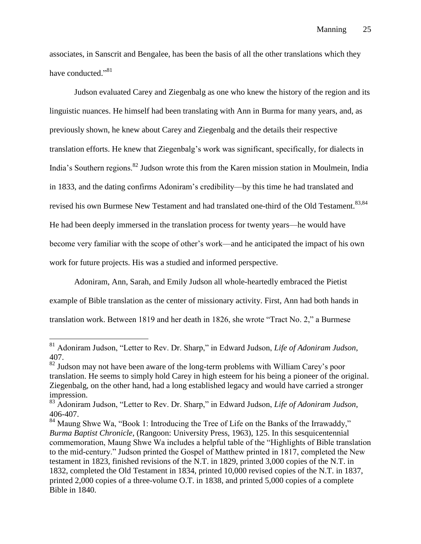associates, in Sanscrit and Bengalee, has been the basis of all the other translations which they have conducted."<sup>81</sup>

Judson evaluated Carey and Ziegenbalg as one who knew the history of the region and its linguistic nuances. He himself had been translating with Ann in Burma for many years, and, as previously shown, he knew about Carey and Ziegenbalg and the details their respective translation efforts. He knew that Ziegenbalg's work was significant, specifically, for dialects in India's Southern regions.<sup>82</sup> Judson wrote this from the Karen mission station in Moulmein, India in 1833, and the dating confirms Adoniram's credibility––by this time he had translated and revised his own Burmese New Testament and had translated one-third of the Old Testament.<sup>83,84</sup> He had been deeply immersed in the translation process for twenty years––he would have become very familiar with the scope of other's work––and he anticipated the impact of his own work for future projects. His was a studied and informed perspective.

Adoniram, Ann, Sarah, and Emily Judson all whole-heartedly embraced the Pietist example of Bible translation as the center of missionary activity. First, Ann had both hands in translation work. Between 1819 and her death in 1826, she wrote "Tract No. 2," a Burmese

<sup>81</sup> Adoniram Judson, "Letter to Rev. Dr. Sharp," in Edward Judson, *Life of Adoniram Judson*, 407.

<sup>&</sup>lt;sup>82</sup> Judson may not have been aware of the long-term problems with William Carey's poor translation. He seems to simply hold Carey in high esteem for his being a pioneer of the original. Ziegenbalg, on the other hand, had a long established legacy and would have carried a stronger impression.

<sup>83</sup> Adoniram Judson, "Letter to Rev. Dr. Sharp," in Edward Judson, *Life of Adoniram Judson*, 406-407.

<sup>&</sup>lt;sup>84</sup> Maung Shwe Wa, "Book 1: Introducing the Tree of Life on the Banks of the Irrawaddy," *Burma Baptist Chronicle*, (Rangoon: University Press, 1963), 125. In this sesquicentennial commemoration, Maung Shwe Wa includes a helpful table of the "Highlights of Bible translation to the mid-century." Judson printed the Gospel of Matthew printed in 1817, completed the New testament in 1823, finished revisions of the N.T. in 1829, printed 3,000 copies of the N.T. in 1832, completed the Old Testament in 1834, printed 10,000 revised copies of the N.T. in 1837, printed 2,000 copies of a three-volume O.T. in 1838, and printed 5,000 copies of a complete Bible in 1840.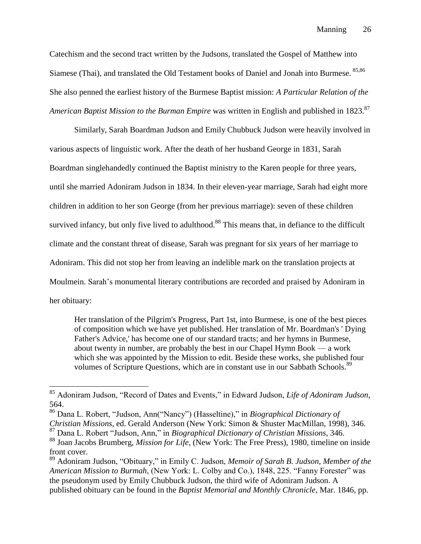Catechism and the second tract written by the Judsons, translated the Gospel of Matthew into Siamese (Thai), and translated the Old Testament books of Daniel and Jonah into Burmese. 85,86 She also penned the earliest history of the Burmese Baptist mission: *A Particular Relation of the American Baptist Mission to the Burman Empire* was written in English and published in 1823.<sup>87</sup>

Similarly, Sarah Boardman Judson and Emily Chubbuck Judson were heavily involved in various aspects of linguistic work. After the death of her husband George in 1831, Sarah Boardman singlehandedly continued the Baptist ministry to the Karen people for three years, until she married Adoniram Judson in 1834. In their eleven-year marriage, Sarah had eight more children in addition to her son George (from her previous marriage): seven of these children survived infancy, but only five lived to adulthood.<sup>88</sup> This means that, in defiance to the difficult climate and the constant threat of disease, Sarah was pregnant for six years of her marriage to Adoniram. This did not stop her from leaving an indelible mark on the translation projects at Moulmein. Sarah's monumental literary contributions are recorded and praised by Adoniram in her obituary:

Her translation of the Pilgrim's Progress, Part 1st, into Burmese, is one of the best pieces of composition which we have yet published. Her translation of Mr. Boardman's ' Dying Father's Advice,' has become one of our standard tracts; and her hymns in Burmese, about twenty in number, are probably the best in our Chapel Hymn Book — a work which she was appointed by the Mission to edit. Beside these works, she published four volumes of Scripture Questions, which are in constant use in our Sabbath Schools.<sup>89</sup>

<sup>85</sup> Adoniram Judson, "Record of Dates and Events," in Edward Judson, *Life of Adoniram Judson*, 564.

<sup>86</sup> Dana L. Robert, "Judson, Ann("Nancy") (Hasseltine)," in *Biographical Dictionary of Christian Missions*, ed. Gerald Anderson (New York: Simon & Shuster MacMillan, 1998), 346.

<sup>87</sup> Dana L. Robert "Judson, Ann," in *Biographical Dictionary of Christian Missions*, 346.

<sup>88</sup> Joan Jacobs Brumberg, *Mission for Life*, (New York: The Free Press), 1980, timeline on inside

front cover.

<sup>89</sup> Adoniram Judson, "Obituary," in Emily C. Judson, *Memoir of Sarah B. Judson, Member of the American Mission to Burmah*, (New York: L. Colby and Co.), 1848, 225. "Fanny Forester" was the pseudonym used by Emily Chubbuck Judson, the third wife of Adoniram Judson. A published obituary can be found in the *Baptist Memorial and Monthly Chronicle*, Mar. 1846, pp.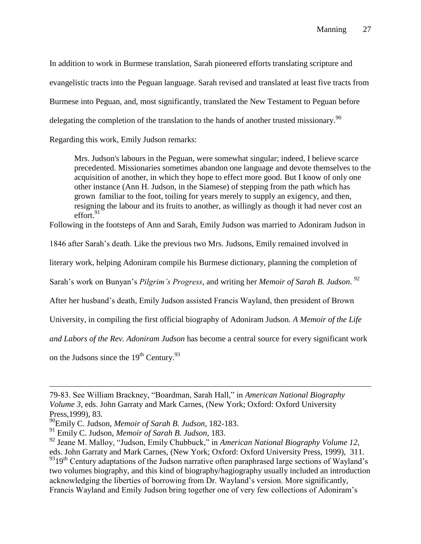In addition to work in Burmese translation, Sarah pioneered efforts translating scripture and evangelistic tracts into the Peguan language. Sarah revised and translated at least five tracts from Burmese into Peguan, and, most significantly, translated the New Testament to Peguan before delegating the completion of the translation to the hands of another trusted missionary.<sup>90</sup>

Regarding this work, Emily Judson remarks:

Mrs. Judson's labours in the Peguan, were somewhat singular; indeed, I believe scarce precedented. Missionaries sometimes abandon one language and devote themselves to the acquisition of another, in which they hope to effect more good. But I know of only one other instance (Ann H. Judson, in the Siamese) of stepping from the path which has grown familiar to the foot, toiling for years merely to supply an exigency, and then, resigning the labour and its fruits to another, as willingly as though it had never cost an effort. 91

Following in the footsteps of Ann and Sarah, Emily Judson was married to Adoniram Judson in

1846 after Sarah's death. Like the previous two Mrs. Judsons, Emily remained involved in

literary work, helping Adoniram compile his Burmese dictionary, planning the completion of

Sarah's work on Bunyan's *Pilgrim's Progress*, and writing her *Memoir of Sarah B. Judson*. 92

After her husband's death, Emily Judson assisted Francis Wayland, then president of Brown

University, in compiling the first official biography of Adoniram Judson. *A Memoir of the Life* 

*and Labors of the Rev. Adoniram Judson* has become a central source for every significant work

on the Judsons since the  $19<sup>th</sup>$  Century.<sup>93</sup>

<sup>79-83.</sup> See William Brackney, "Boardman, Sarah Hall," in *American National Biography Volume 3*, eds. John Garraty and Mark Carnes, (New York; Oxford: Oxford University Press,1999), 83.

<sup>90</sup>Emily C. Judson, *Memoir of Sarah B. Judson*, 182-183.

<sup>91</sup> Emily C. Judson, *Memoir of Sarah B. Judson*, 183.

<sup>92</sup> Jeane M. Malloy, "Judson, Emily Chubbuck," in *American National Biography Volume 12*, eds. John Garraty and Mark Carnes, (New York; Oxford: Oxford University Press, 1999), 311. 9319<sup>th</sup> Century adaptations of the Judson narrative often paraphrased large sections of Wayland's two volumes biography, and this kind of biography/hagiography usually included an introduction acknowledging the liberties of borrowing from Dr. Wayland's version. More significantly, Francis Wayland and Emily Judson bring together one of very few collections of Adoniram's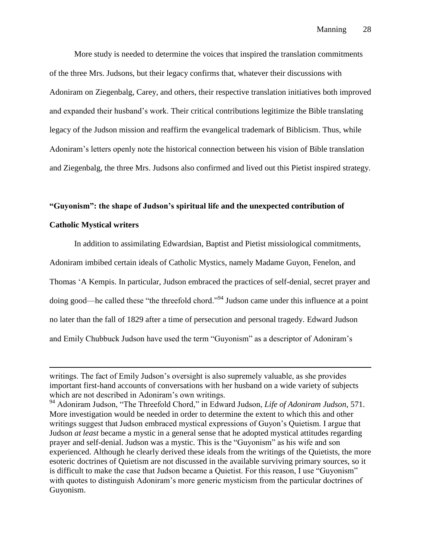More study is needed to determine the voices that inspired the translation commitments of the three Mrs. Judsons, but their legacy confirms that, whatever their discussions with Adoniram on Ziegenbalg, Carey, and others, their respective translation initiatives both improved and expanded their husband's work. Their critical contributions legitimize the Bible translating legacy of the Judson mission and reaffirm the evangelical trademark of Biblicism. Thus, while Adoniram's letters openly note the historical connection between his vision of Bible translation and Ziegenbalg, the three Mrs. Judsons also confirmed and lived out this Pietist inspired strategy.

#### **"Guyonism": the shape of Judson's spiritual life and the unexpected contribution of**

#### **Catholic Mystical writers**

 $\overline{a}$ 

In addition to assimilating Edwardsian, Baptist and Pietist missiological commitments,

Adoniram imbibed certain ideals of Catholic Mystics, namely Madame Guyon, Fenelon, and

Thomas 'A Kempis. In particular, Judson embraced the practices of self-denial, secret prayer and doing good—he called these "the threefold chord."<sup>94</sup> Judson came under this influence at a point no later than the fall of 1829 after a time of persecution and personal tragedy. Edward Judson and Emily Chubbuck Judson have used the term "Guyonism" as a descriptor of Adoniram's

writings. The fact of Emily Judson's oversight is also supremely valuable, as she provides important first-hand accounts of conversations with her husband on a wide variety of subjects which are not described in Adoniram's own writings.

<sup>94</sup> Adoniram Judson, "The Threefold Chord," in Edward Judson, *Life of Adoniram Judson*, 571. More investigation would be needed in order to determine the extent to which this and other writings suggest that Judson embraced mystical expressions of Guyon's Quietism. I argue that Judson *at least* became a mystic in a general sense that he adopted mystical attitudes regarding prayer and self-denial. Judson was a mystic. This is the "Guyonism" as his wife and son experienced. Although he clearly derived these ideals from the writings of the Quietists, the more esoteric doctrines of Quietism are not discussed in the available surviving primary sources, so it is difficult to make the case that Judson became a Quietist. For this reason, I use "Guyonism" with quotes to distinguish Adoniram's more generic mysticism from the particular doctrines of Guyonism.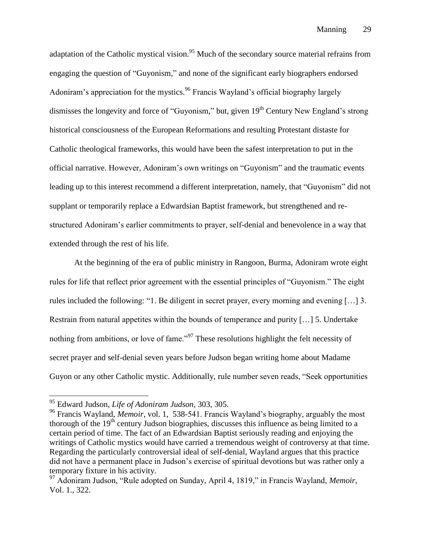adaptation of the Catholic mystical vision.<sup>95</sup> Much of the secondary source material refrains from engaging the question of "Guyonism," and none of the significant early biographers endorsed Adoniram's appreciation for the mystics.<sup>96</sup> Francis Wayland's official biography largely dismisses the longevity and force of "Guyonism," but, given 19<sup>th</sup> Century New England's strong historical consciousness of the European Reformations and resulting Protestant distaste for Catholic theological frameworks, this would have been the safest interpretation to put in the official narrative. However, Adoniram's own writings on "Guyonism" and the traumatic events leading up to this interest recommend a different interpretation, namely, that "Guyonism" did not supplant or temporarily replace a Edwardsian Baptist framework, but strengthened and restructured Adoniram's earlier commitments to prayer, self-denial and benevolence in a way that extended through the rest of his life.

At the beginning of the era of public ministry in Rangoon, Burma, Adoniram wrote eight rules for life that reflect prior agreement with the essential principles of "Guyonism." The eight rules included the following: "1. Be diligent in secret prayer, every morning and evening […] 3. Restrain from natural appetites within the bounds of temperance and purity […] 5. Undertake nothing from ambitions, or love of fame."<sup>97</sup> These resolutions highlight the felt necessity of secret prayer and self-denial seven years before Judson began writing home about Madame Guyon or any other Catholic mystic. Additionally, rule number seven reads, "Seek opportunities

<sup>95</sup> Edward Judson, *Life of Adoniram Judson*, 303, 305.

<sup>96</sup> Francis Wayland, *Memoir*, vol. 1, 538-541. Francis Wayland's biography, arguably the most thorough of the  $19<sup>th</sup>$  century Judson biographies, discusses this influence as being limited to a certain period of time. The fact of an Edwardsian Baptist seriously reading and enjoying the writings of Catholic mystics would have carried a tremendous weight of controversy at that time. Regarding the particularly controversial ideal of self-denial, Wayland argues that this practice did not have a permanent place in Judson's exercise of spiritual devotions but was rather only a temporary fixture in his activity.

<sup>97</sup> Adoniram Judson, "Rule adopted on Sunday, April 4, 1819," in Francis Wayland, *Memoir*, Vol. 1., 322.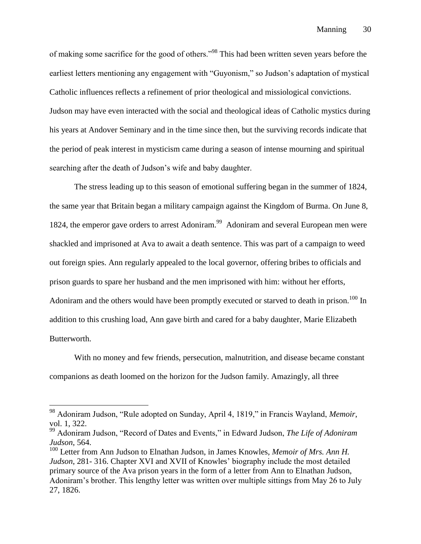of making some sacrifice for the good of others."<sup>98</sup> This had been written seven years before the earliest letters mentioning any engagement with "Guyonism," so Judson's adaptation of mystical Catholic influences reflects a refinement of prior theological and missiological convictions. Judson may have even interacted with the social and theological ideas of Catholic mystics during his years at Andover Seminary and in the time since then, but the surviving records indicate that the period of peak interest in mysticism came during a season of intense mourning and spiritual searching after the death of Judson's wife and baby daughter.

The stress leading up to this season of emotional suffering began in the summer of 1824, the same year that Britain began a military campaign against the Kingdom of Burma. On June 8, 1824, the emperor gave orders to arrest Adoniram.<sup>99</sup> Adoniram and several European men were shackled and imprisoned at Ava to await a death sentence. This was part of a campaign to weed out foreign spies. Ann regularly appealed to the local governor, offering bribes to officials and prison guards to spare her husband and the men imprisoned with him: without her efforts, Adoniram and the others would have been promptly executed or starved to death in prison.<sup>100</sup> In addition to this crushing load, Ann gave birth and cared for a baby daughter, Marie Elizabeth Butterworth.

With no money and few friends, persecution, malnutrition, and disease became constant companions as death loomed on the horizon for the Judson family. Amazingly, all three

<sup>98</sup> Adoniram Judson, "Rule adopted on Sunday, April 4, 1819," in Francis Wayland, *Memoir*, vol. 1, 322.

<sup>99</sup> Adoniram Judson, "Record of Dates and Events," in Edward Judson, *The Life of Adoniram Judson*, 564.

<sup>&</sup>lt;sup>100</sup> Letter from Ann Judson to Elnathan Judson, in James Knowles, *Memoir of Mrs. Ann H. Judson*, 281- 316. Chapter XVI and XVII of Knowles' biography include the most detailed primary source of the Ava prison years in the form of a letter from Ann to Elnathan Judson, Adoniram's brother. This lengthy letter was written over multiple sittings from May 26 to July 27, 1826.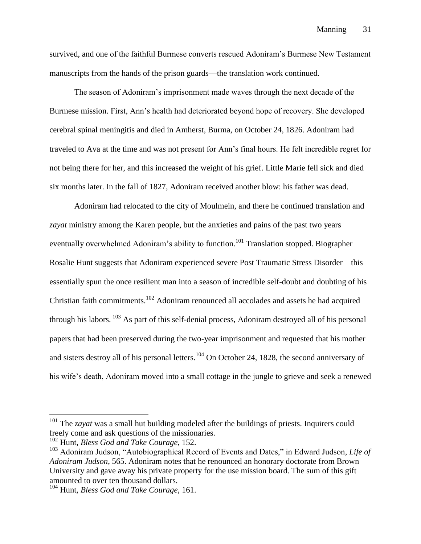survived, and one of the faithful Burmese converts rescued Adoniram's Burmese New Testament manuscripts from the hands of the prison guards––the translation work continued.

The season of Adoniram's imprisonment made waves through the next decade of the Burmese mission. First, Ann's health had deteriorated beyond hope of recovery. She developed cerebral spinal meningitis and died in Amherst, Burma, on October 24, 1826. Adoniram had traveled to Ava at the time and was not present for Ann's final hours. He felt incredible regret for not being there for her, and this increased the weight of his grief. Little Marie fell sick and died six months later. In the fall of 1827, Adoniram received another blow: his father was dead.

Adoniram had relocated to the city of Moulmein, and there he continued translation and *zayat* ministry among the Karen people, but the anxieties and pains of the past two years eventually overwhelmed Adoniram's ability to function.<sup>101</sup> Translation stopped. Biographer Rosalie Hunt suggests that Adoniram experienced severe Post Traumatic Stress Disorder––this essentially spun the once resilient man into a season of incredible self-doubt and doubting of his Christian faith commitments.<sup>102</sup> Adoniram renounced all accolades and assets he had acquired through his labors. <sup>103</sup> As part of this self-denial process, Adoniram destroyed all of his personal papers that had been preserved during the two-year imprisonment and requested that his mother and sisters destroy all of his personal letters.<sup>104</sup> On October 24, 1828, the second anniversary of his wife's death, Adoniram moved into a small cottage in the jungle to grieve and seek a renewed

<sup>&</sup>lt;sup>101</sup> The *zayat* was a small hut building modeled after the buildings of priests. Inquirers could freely come and ask questions of the missionaries.

<sup>102</sup> Hunt, *Bless God and Take Courage*, 152.

<sup>103</sup> Adoniram Judson, "Autobiographical Record of Events and Dates," in Edward Judson, *Life of Adoniram Judson*, 565. Adoniram notes that he renounced an honorary doctorate from Brown University and gave away his private property for the use mission board. The sum of this gift amounted to over ten thousand dollars.

<sup>104</sup> Hunt, *Bless God and Take Courage*, 161.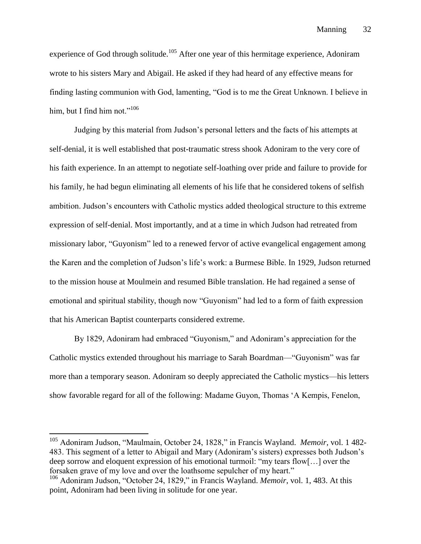Manning 32

experience of God through solitude.<sup>105</sup> After one year of this hermitage experience, Adoniram wrote to his sisters Mary and Abigail. He asked if they had heard of any effective means for finding lasting communion with God, lamenting, "God is to me the Great Unknown. I believe in him, but I find him not." $106$ 

Judging by this material from Judson's personal letters and the facts of his attempts at self-denial, it is well established that post-traumatic stress shook Adoniram to the very core of his faith experience. In an attempt to negotiate self-loathing over pride and failure to provide for his family, he had begun eliminating all elements of his life that he considered tokens of selfish ambition. Judson's encounters with Catholic mystics added theological structure to this extreme expression of self-denial. Most importantly, and at a time in which Judson had retreated from missionary labor, "Guyonism" led to a renewed fervor of active evangelical engagement among the Karen and the completion of Judson's life's work: a Burmese Bible. In 1929, Judson returned to the mission house at Moulmein and resumed Bible translation. He had regained a sense of emotional and spiritual stability, though now "Guyonism" had led to a form of faith expression that his American Baptist counterparts considered extreme.

By 1829, Adoniram had embraced "Guyonism," and Adoniram's appreciation for the Catholic mystics extended throughout his marriage to Sarah Boardman––"Guyonism" was far more than a temporary season. Adoniram so deeply appreciated the Catholic mystics––his letters show favorable regard for all of the following: Madame Guyon, Thomas 'A Kempis, Fenelon,

<sup>105</sup> Adoniram Judson, "Maulmain, October 24, 1828," in Francis Wayland. *Memoir*, vol. 1 482- 483. This segment of a letter to Abigail and Mary (Adoniram's sisters) expresses both Judson's deep sorrow and eloquent expression of his emotional turmoil: "my tears flow[…] over the forsaken grave of my love and over the loathsome sepulcher of my heart."

<sup>106</sup> Adoniram Judson, "October 24, 1829," in Francis Wayland. *Memoir*, vol. 1, 483. At this point, Adoniram had been living in solitude for one year.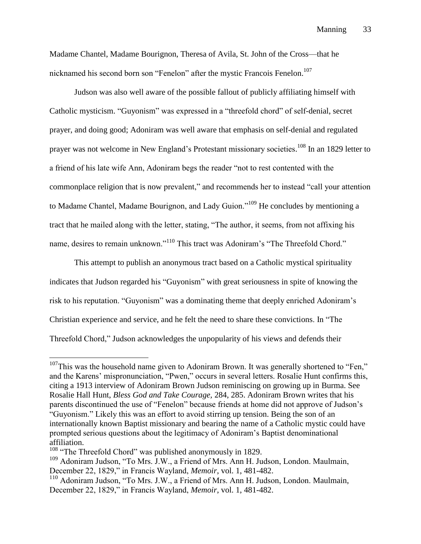Madame Chantel, Madame Bourignon, Theresa of Avila, St. John of the Cross––that he nicknamed his second born son "Fenelon" after the mystic Francois Fenelon.<sup>107</sup>

Judson was also well aware of the possible fallout of publicly affiliating himself with Catholic mysticism. "Guyonism" was expressed in a "threefold chord" of self-denial, secret prayer, and doing good; Adoniram was well aware that emphasis on self-denial and regulated prayer was not welcome in New England's Protestant missionary societies.<sup>108</sup> In an 1829 letter to a friend of his late wife Ann, Adoniram begs the reader "not to rest contented with the commonplace religion that is now prevalent," and recommends her to instead "call your attention to Madame Chantel, Madame Bourignon, and Lady Guion."<sup>109</sup> He concludes by mentioning a tract that he mailed along with the letter, stating, "The author, it seems, from not affixing his name, desires to remain unknown."<sup>110</sup> This tract was Adoniram's "The Threefold Chord."

This attempt to publish an anonymous tract based on a Catholic mystical spirituality indicates that Judson regarded his "Guyonism" with great seriousness in spite of knowing the risk to his reputation. "Guyonism" was a dominating theme that deeply enriched Adoniram's Christian experience and service, and he felt the need to share these convictions. In "The Threefold Chord," Judson acknowledges the unpopularity of his views and defends their

 $107$ This was the household name given to Adoniram Brown. It was generally shortened to "Fen," and the Karens' mispronunciation, "Pwen," occurs in several letters. Rosalie Hunt confirms this, citing a 1913 interview of Adoniram Brown Judson reminiscing on growing up in Burma. See Rosalie Hall Hunt, *Bless God and Take Courage,* 284, 285. Adoniram Brown writes that his parents discontinued the use of "Fenelon" because friends at home did not approve of Judson's "Guyonism." Likely this was an effort to avoid stirring up tension. Being the son of an internationally known Baptist missionary and bearing the name of a Catholic mystic could have prompted serious questions about the legitimacy of Adoniram's Baptist denominational affiliation.

<sup>&</sup>lt;sup>108</sup> "The Threefold Chord" was published anonymously in 1829.

<sup>&</sup>lt;sup>109</sup> Adoniram Judson, "To Mrs. J.W., a Friend of Mrs. Ann H. Judson, London. Maulmain, December 22, 1829," in Francis Wayland, *Memoir*, vol. 1, 481-482.

<sup>110</sup> Adoniram Judson, "To Mrs. J.W., a Friend of Mrs. Ann H. Judson, London. Maulmain, December 22, 1829," in Francis Wayland, *Memoir*, vol. 1, 481-482.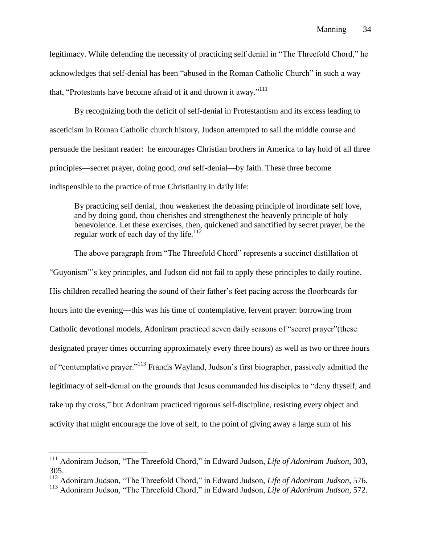legitimacy. While defending the necessity of practicing self denial in "The Threefold Chord," he acknowledges that self-denial has been "abused in the Roman Catholic Church" in such a way that, "Protestants have become afraid of it and thrown it away."<sup>111</sup>

By recognizing both the deficit of self-denial in Protestantism and its excess leading to asceticism in Roman Catholic church history, Judson attempted to sail the middle course and persuade the hesitant reader: he encourages Christian brothers in America to lay hold of all three principles––secret prayer, doing good, *and* self-denial––by faith. These three become indispensible to the practice of true Christianity in daily life:

By practicing self denial, thou weakenest the debasing principle of inordinate self love, and by doing good, thou cherishes and strengthenest the heavenly principle of holy benevolence. Let these exercises, then, quickened and sanctified by secret prayer, be the regular work of each day of thy life. $112$ 

The above paragraph from "The Threefold Chord" represents a succinct distillation of "Guyonism"'s key principles, and Judson did not fail to apply these principles to daily routine. His children recalled hearing the sound of their father's feet pacing across the floorboards for hours into the evening––this was his time of contemplative, fervent prayer: borrowing from Catholic devotional models, Adoniram practiced seven daily seasons of "secret prayer"(these designated prayer times occurring approximately every three hours) as well as two or three hours of "contemplative prayer."<sup>113</sup> Francis Wayland, Judson's first biographer, passively admitted the legitimacy of self-denial on the grounds that Jesus commanded his disciples to "deny thyself, and take up thy cross," but Adoniram practiced rigorous self-discipline, resisting every object and activity that might encourage the love of self, to the point of giving away a large sum of his

<sup>111</sup> Adoniram Judson, "The Threefold Chord," in Edward Judson, *Life of Adoniram Judson*, 303, 305.

<sup>112</sup> Adoniram Judson, "The Threefold Chord," in Edward Judson, *Life of Adoniram Judson*, 576.

<sup>113</sup> Adoniram Judson, "The Threefold Chord," in Edward Judson, *Life of Adoniram Judson*, 572.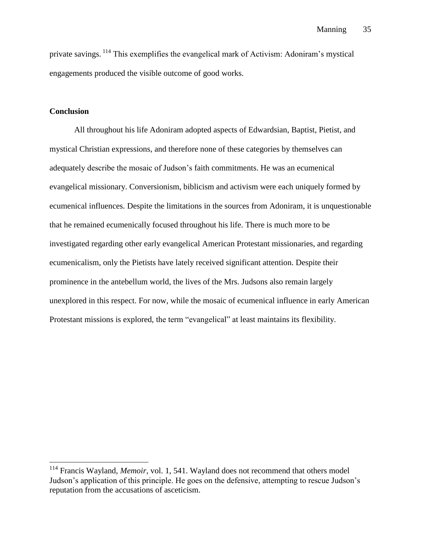private savings. <sup>114</sup> This exemplifies the evangelical mark of Activism: Adoniram's mystical engagements produced the visible outcome of good works.

# **Conclusion**

 $\overline{a}$ 

All throughout his life Adoniram adopted aspects of Edwardsian, Baptist, Pietist, and mystical Christian expressions, and therefore none of these categories by themselves can adequately describe the mosaic of Judson's faith commitments. He was an ecumenical evangelical missionary. Conversionism, biblicism and activism were each uniquely formed by ecumenical influences. Despite the limitations in the sources from Adoniram, it is unquestionable that he remained ecumenically focused throughout his life. There is much more to be investigated regarding other early evangelical American Protestant missionaries, and regarding ecumenicalism, only the Pietists have lately received significant attention. Despite their prominence in the antebellum world, the lives of the Mrs. Judsons also remain largely unexplored in this respect. For now, while the mosaic of ecumenical influence in early American Protestant missions is explored, the term "evangelical" at least maintains its flexibility.

<sup>114</sup> Francis Wayland, *Memoir*, vol. 1, 541. Wayland does not recommend that others model Judson's application of this principle. He goes on the defensive, attempting to rescue Judson's reputation from the accusations of asceticism.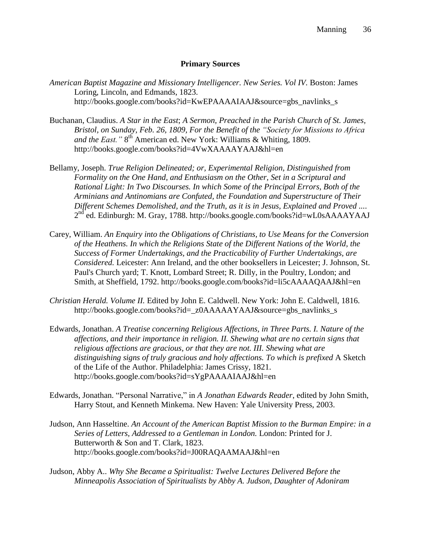## **Primary Sources**

- *American Baptist Magazine and Missionary Intelligencer. New Series. Vol IV.* Boston: James Loring, Lincoln, and Edmands, 1823. http://books.google.com/books?id=KwEPAAAAIAAJ&source=gbs\_navlinks\_s
- Buchanan, Claudius. *A Star in the East*; *A Sermon, Preached in the Parish Church of St. James, Bristol, on Sunday, Feb. 26, 1809, For the Benefit of the "Society for Missions to Africa*  and the East." 8<sup>th</sup> American ed. New York: Williams & Whiting, 1809. http://books.google.com/books?id=4VwXAAAAYAAJ&hl=en
- Bellamy, Joseph. *True Religion Delineated; or, Experimental Religion, Distinguished from Formality on the One Hand, and Enthusiasm on the Other, Set in a Scriptural and Rational Light: In Two Discourses. In which Some of the Principal Errors, Both of the Arminians and Antinomians are Confuted, the Foundation and Superstructure of Their Different Schemes Demolished, and the Truth, as it is in Jesus, Explained and Proved ....* 2<sup>nd</sup> ed. Edinburgh: M. Gray, 1788. http://books.google.com/books?id=wL0sAAAAYAAJ
- Carey, William. *An Enquiry into the Obligations of Christians, to Use Means for the Conversion of the Heathens. In which the Religions State of the Different Nations of the World, the Success of Former Undertakings, and the Practicability of Further Undertakings, are Considered.* Leicester: Ann Ireland, and the other booksellers in Leicester; J. Johnson, St. Paul's Church yard; T. Knott, Lombard Street; R. Dilly, in the Poultry, London; and Smith, at Sheffield, 1792. http://books.google.com/books?id=li5cAAAAQAAJ&hl=en
- *Christian Herald. Volume II.* Edited by John E. Caldwell. New York: John E. Caldwell, 1816. http://books.google.com/books?id=\_z0AAAAAYAAJ&source=gbs\_navlinks\_s
- Edwards, Jonathan. *A Treatise concerning Religious Affections, in Three Parts. I. Nature of the affections, and their importance in religion. II. Shewing what are no certain signs that religious affections are gracious, or that they are not. III. Shewing what are distinguishing signs of truly gracious and holy affections. To which is prefixed* A Sketch of the Life of the Author. Philadelphia: James Crissy, 1821. http://books.google.com/books?id=sYgPAAAAIAAJ&hl=en
- Edwards, Jonathan. "Personal Narrative," in *A Jonathan Edwards Reader*, edited by John Smith, Harry Stout, and Kenneth Minkema. New Haven: Yale University Press, 2003.
- Judson, Ann Hasseltine. *An Account of the American Baptist Mission to the Burman Empire: in a Series of Letters, Addressed to a Gentleman in London.* London: Printed for J. Butterworth & Son and T. Clark, 1823. http://books.google.com/books?id=J00RAQAAMAAJ&hl=en
- Judson, Abby A.. *Why She Became a Spiritualist: Twelve Lectures Delivered Before the Minneapolis Association of Spiritualists by Abby A. Judson, Daughter of Adoniram*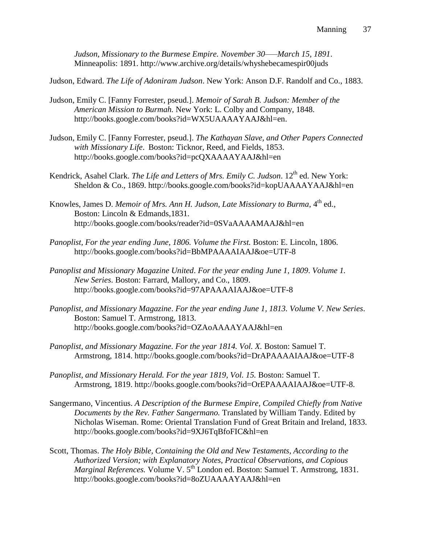*Judson, Missionary to the Burmese Empire. November 30–––March 15, 1891*. Minneapolis: 1891. http://www.archive.org/details/whyshebecamespir00juds

Judson, Edward. *The Life of Adoniram Judson*. New York: Anson D.F. Randolf and Co., 1883.

- Judson, Emily C. [Fanny Forrester, pseud.]. *Memoir of Sarah B. Judson: Member of the American Mission to Burmah.* New York: L. Colby and Company, 1848. http://books.google.com/books?id=WX5UAAAAYAAJ&hl=en.
- Judson, Emily C. [Fanny Forrester, pseud.]. *The Kathayan Slave, and Other Papers Connected with Missionary Life*. Boston: Ticknor, Reed, and Fields, 1853. http://books.google.com/books?id=pcQXAAAAYAAJ&hl=en
- Kendrick, Asahel Clark. *The Life and Letters of Mrs. Emily C. Judson*. 12<sup>th</sup> ed. New York: Sheldon & Co., 1869. http://books.google.com/books?id=kopUAAAAYAAJ&hl=en
- Knowles, James D. *Memoir of Mrs. Ann H. Judson, Late Missionary to Burma*, 4<sup>th</sup> ed., Boston: Lincoln & Edmands,1831. http://books.google.com/books/reader?id=0SVaAAAAMAAJ&hl=en
- *Panoplist, For the year ending June, 1806. Volume the First. Boston: E. Lincoln, 1806.* http://books.google.com/books?id=BbMPAAAAIAAJ&oe=UTF-8
- *Panoplist and Missionary Magazine United*. *For the year ending June 1, 1809*. *Volume 1. New Series*. Boston: Farrard, Mallory, and Co., 1809. http://books.google.com/books?id=97APAAAAIAAJ&oe=UTF-8
- *Panoplist, and Missionary Magazine*. *For the year ending June 1, 1813. Volume V. New Series*. Boston: Samuel T. Armstrong, 1813. http://books.google.com/books?id=OZAoAAAAYAAJ&hl=en
- *Panoplist, and Missionary Magazine. For the year 1814. Vol. X.* Boston: Samuel T. Armstrong, 1814. http://books.google.com/books?id=DrAPAAAAIAAJ&oe=UTF-8
- *Panoplist, and Missionary Herald. For the year 1819, Vol. 15. Boston: Samuel T.* Armstrong, 1819. http://books.google.com/books?id=OrEPAAAAIAAJ&oe=UTF-8.
- Sangermano, Vincentius. *A Description of the Burmese Empire, Compiled Chiefly from Native Documents by the Rev. Father Sangermano.* Translated by William Tandy. Edited by Nicholas Wiseman. Rome: Oriental Translation Fund of Great Britain and Ireland, 1833. http://books.google.com/books?id=9XJ6TqBfoFIC&hl=en
- Scott, Thomas. *The Holy Bible, Containing the Old and New Testaments, According to the Authorized Version; with Explanatory Notes, Practical Observations, and Copious Marginal References.* Volume V. 5<sup>th</sup> London ed. Boston: Samuel T. Armstrong, 1831. http://books.google.com/books?id=8oZUAAAAYAAJ&hl=en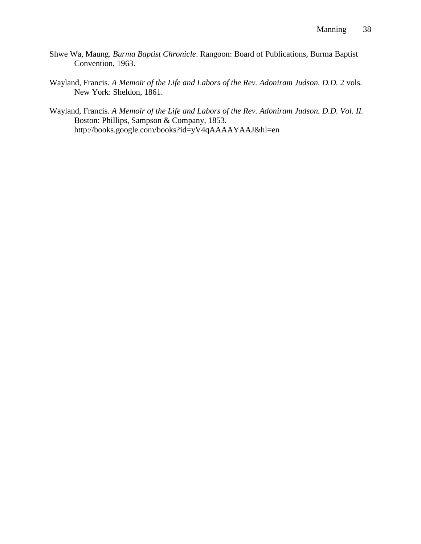- Shwe Wa, Maung. *Burma Baptist Chronicle*. Rangoon: Board of Publications, Burma Baptist Convention, 1963.
- Wayland, Francis. *A Memoir of the Life and Labors of the Rev. Adoniram Judson. D.D.* 2 vols. New York: Sheldon, 1861.
- Wayland, Francis. *A Memoir of the Life and Labors of the Rev. Adoniram Judson. D.D. Vol. II.*  Boston: Phillips, Sampson & Company, 1853. http://books.google.com/books?id=yV4qAAAAYAAJ&hl=en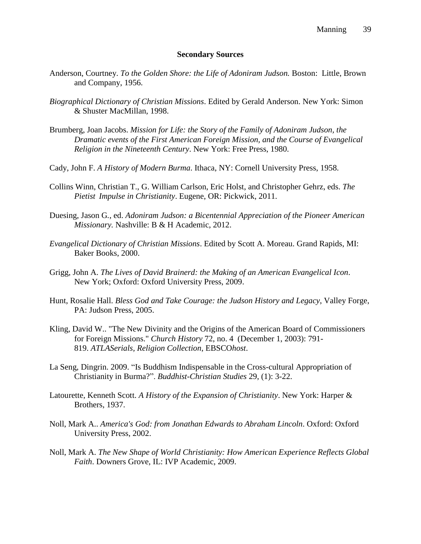#### **Secondary Sources**

- Anderson, Courtney. *To the Golden Shore: the Life of Adoniram Judson.* Boston: Little, Brown and Company, 1956.
- *Biographical Dictionary of Christian Missions*. Edited by Gerald Anderson. New York: Simon & Shuster MacMillan, 1998.
- Brumberg, Joan Jacobs. *Mission for Life: the Story of the Family of Adoniram Judson, the Dramatic events of the First American Foreign Mission, and the Course of Evangelical Religion in the Nineteenth Century*. New York: Free Press, 1980.
- Cady, John F. *A History of Modern Burma*. Ithaca, NY: Cornell University Press, 1958.
- Collins Winn, Christian T., G. William Carlson, Eric Holst, and Christopher Gehrz, eds. *The Pietist Impulse in Christianity*. Eugene, OR: Pickwick, 2011.
- Duesing, Jason G*.*, ed. *Adoniram Judson: a Bicentennial Appreciation of the Pioneer American Missionary.* Nashville: B & H Academic, 2012.
- *Evangelical Dictionary of Christian Missions*. Edited by Scott A. Moreau. Grand Rapids, MI: Baker Books, 2000.
- Grigg, John A. *The Lives of David Brainerd: the Making of an American Evangelical Icon*. New York; Oxford: Oxford University Press, 2009.
- Hunt, Rosalie Hall. *Bless God and Take Courage: the Judson History and Legacy*, Valley Forge, PA: Judson Press, 2005.
- Kling, David W.. "The New Divinity and the Origins of the American Board of Commissioners for Foreign Missions." *Church History* 72, no. 4 (December 1, 2003): 791- 819. *ATLASerials, Religion Collection*, EBSCO*host*.
- La Seng, Dingrin. 2009. "Is Buddhism Indispensable in the Cross-cultural Appropriation of Christianity in Burma?". *Buddhist-Christian Studies* 29, (1): 3-22.
- Latourette, Kenneth Scott. *A History of the Expansion of Christianity*. New York: Harper & Brothers, 1937.
- Noll, Mark A.. *America's God: from Jonathan Edwards to Abraham Lincoln*. Oxford: Oxford University Press, 2002.
- Noll, Mark A. *The New Shape of World Christianity: How American Experience Reflects Global Faith*. Downers Grove, IL: IVP Academic, 2009.